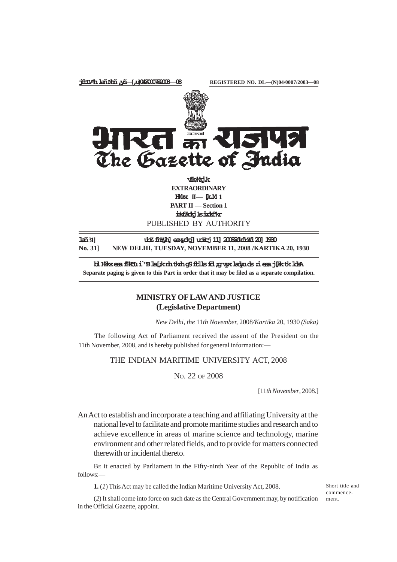

**EXTRAORDINARY Hkkx II — [k.M 1 PART II — Section 1 izkf/kdkjlsizdkf'kr** PUBLISHED BY AUTHORITY

**lañ31] ubZfnYyh]eaxyokj]uoEcj11]2008@dkfrZd20]1930 No. 31] NEW DELHI, TUESDAY, NOVEMBER 11, 2008 /KARTIKA 20, 1930**

**blHkkxesafHkUui`"Bla[;knhtkrhgSftllsfd;gvyxladyuds:iesaj[kktkldsA Separate paging is given to this Part in order that it may be filed as a separate compilation.**

# **MINISTRY OF LAW AND JUSTICE (Legislative Department)**

*New Delhi, the* 11*th November,* 2008*/Kartika* 20, 1930 *(Saka)*

The following Act of Parliament received the assent of the President on the 11th November, 2008, and is hereby published for general information:—

## THE INDIAN MARITIME UNIVERSITY ACT, 2008

NO. 22 OF 2008

[11*th November*, 2008.]

An Act to establish and incorporate a teaching and affiliating University at the national level to facilitate and promote maritime studies and research and to achieve excellence in areas of marine science and technology, marine environment and other related fields, and to provide for matters connected therewith or incidental thereto.

BE it enacted by Parliament in the Fifty-ninth Year of the Republic of India as follows:—

**1.** (*1*) This Act may be called the Indian Maritime University Act, 2008.

Short title and commencement.

(*2*) It shall come into force on such date as the Central Government may, by notification in the Official Gazette, appoint.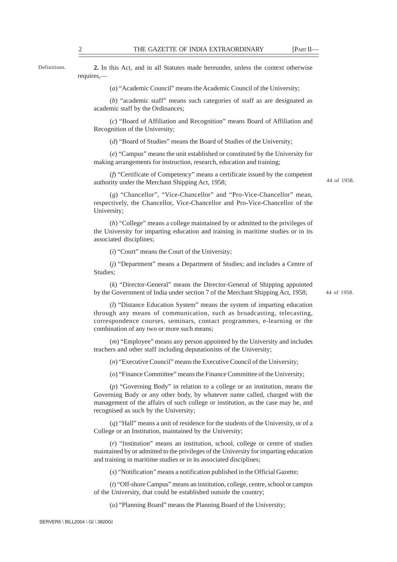Definitions.

**2.** In this Act, and in all Statutes made hereunder, unless the context otherwise requires,—

(*a*) "Academic Council" means the Academic Council of the University;

(*b*) "academic staff" means such categories of staff as are designated as academic staff by the Ordinances;

(*c*) "Board of Affiliation and Recognition" means Board of Affiliation and Recognition of the University;

(*d*) "Board of Studies" means the Board of Studies of the University;

(*e*) "Campus" means the unit established or constituted by the University for making arrangements for instruction, research, education and training;

(*f*) "Certificate of Competency" means a certificate issued by the competent authority under the Merchant Shipping Act, 1958;

44 of 1958.

(*g*) "Chancellor", "Vice-Chancellor" and "Pro-Vice-Chancellor" mean, respectively, the Chancellor, Vice-Chancellor and Pro-Vice-Chancellor of the University;

(*h*) "College" means a college maintained by or admitted to the privileges of the University for imparting education and training in maritime studies or in its associated disciplines;

(*i*) "Court" means the Court of the University;

(*j*) "Department" means a Department of Studies; and includes a Centre of Studies;

(*k*) "Director-General" means the Director-General of Shipping appointed by the Government of India under section 7 of the Merchant Shipping Act, 1958;

44 of 1958.

(*l*) "Distance Education System" means the system of imparting education through any means of communication, such as broadcasting, telecasting, correspondence courses, seminars, contact programmes, e-learning or the combination of any two or more such means;

(*m*) "Employee" means any person appointed by the University and includes teachers and other staff including deputationists of the University;

(*n*) "Executive Council" means the Executive Council of the University;

(*o*) "Finance Committee" means the Finance Committee of the University;

(*p*) "Governing Body" in relation to a college or an institution, means the Governing Body or any other body, by whatever name called, charged with the management of the affairs of such college or institution, as the case may be, and recognised as such by the University;

(*q*) "Hall" means a unit of residence for the students of the University, or of a College or an Institution, maintained by the University;

(*r*) "Institution" means an institution, school, college or centre of studies maintained by or admitted to the privileges of the University for imparting education and training in maritime studies or in its associated disciplines;

(*s*) "Notification" means a notification published in the Official Gazette;

(*t*) "Off-shore Campus" means an institution, college, centre, school or campus of the University, that could be established outside the country;

(*u*) "Planning Board" means the Planning Board of the University;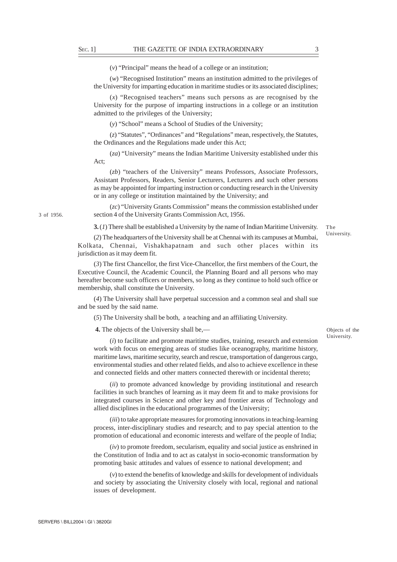(*v*) "Principal" means the head of a college or an institution;

(*w*) "Recognised Institution" means an institution admitted to the privileges of the University for imparting education in maritime studies or its associated disciplines;

(*x*) "Recognised teachers" means such persons as are recognised by the University for the purpose of imparting instructions in a college or an institution admitted to the privileges of the University;

(*y*) "School" means a School of Studies of the University;

(*z*) "Statutes", "Ordinances" and "Regulations" mean, respectively, the Statutes, the Ordinances and the Regulations made under this Act;

(*za*) "University" means the Indian Maritime University established under this Act;

(*zb*) "teachers of the University" means Professors, Associate Professors, Assistant Professors, Readers, Senior Lecturers, Lecturers and such other persons as may be appointed for imparting instruction or conducting research in the University or in any college or institution maintained by the University; and

(*zc*) "University Grants Commission" means the commission established under section 4 of the University Grants Commission Act, 1956.

**3.** (*1*) There shall be established a University by the name of Indian Maritime University.

(*2*) The headquarters of the University shall be at Chennai with its campuses at Mumbai, Kolkata, Chennai, Vishakhapatnam and such other places within its jurisdiction as it may deem fit.

(*3*) The first Chancellor, the first Vice-Chancellor, the first members of the Court, the Executive Council, the Academic Council, the Planning Board and all persons who may hereafter become such officers or members, so long as they continue to hold such office or membership, shall constitute the University.

(*4*) The University shall have perpetual succession and a common seal and shall sue and be sued by the said name.

(*5*) The University shall be both, a teaching and an affiliating University.

 **4.** The objects of the University shall be,—

(*i*) to facilitate and promote maritime studies, training, research and extension work with focus on emerging areas of studies like oceanography, maritime history, maritime laws, maritime security, search and rescue, transportation of dangerous cargo, environmental studies and other related fields, and also to achieve excellence in these and connected fields and other matters connected therewith or incidental thereto;

(*ii*) to promote advanced knowledge by providing institutional and research facilities in such branches of learning as it may deem fit and to make provisions for integrated courses in Science and other key and frontier areas of Technology and allied disciplines in the educational programmes of the University;

(*iii*) to take appropriate measures for promoting innovations in teaching-learning process, inter-disciplinary studies and research; and to pay special attention to the promotion of educational and economic interests and welfare of the people of India;

(*iv*) to promote freedom, secularism, equality and social justice as enshrined in the Constitution of India and to act as catalyst in socio-economic transformation by promoting basic attitudes and values of essence to national development; and

(*v*) to extend the benefits of knowledge and skills for development of individuals and society by associating the University closely with local, regional and national issues of development.

3 of 1956.

The University.

Objects of the University.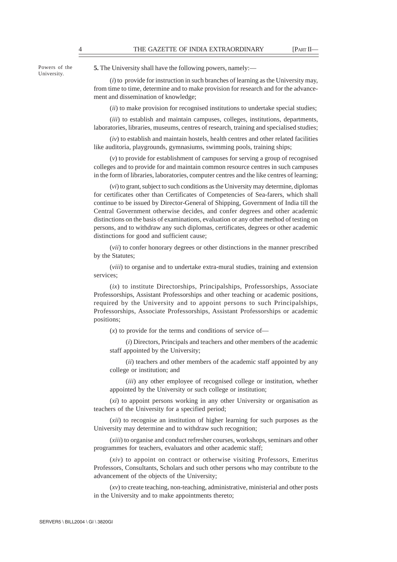Powers of the University.

**5.** The University shall have the following powers, namely:—

(*i*) to provide for instruction in such branches of learning as the University may, from time to time, determine and to make provision for research and for the advancement and dissemination of knowledge;

(*ii*) to make provision for recognised institutions to undertake special studies;

(*iii*) to establish and maintain campuses, colleges, institutions, departments, laboratories, libraries, museums, centres of research, training and specialised studies;

(*iv*) to establish and maintain hostels, health centres and other related facilities like auditoria, playgrounds, gymnasiums, swimming pools, training ships;

(*v*) to provide for establishment of campuses for serving a group of recognised colleges and to provide for and maintain common resource centres in such campuses in the form of libraries, laboratories, computer centres and the like centres of learning;

(*vi*) to grant, subject to such conditions as the University may determine, diplomas for certificates other than Certificates of Competencies of Sea-farers, which shall continue to be issued by Director-General of Shipping, Government of India till the Central Government otherwise decides, and confer degrees and other academic distinctions on the basis of examinations, evaluation or any other method of testing on persons, and to withdraw any such diplomas, certificates, degrees or other academic distinctions for good and sufficient cause;

(*vii*) to confer honorary degrees or other distinctions in the manner prescribed by the Statutes;

(*viii*) to organise and to undertake extra-mural studies, training and extension services;

(*ix*) to institute Directorships, Principalships, Professorships, Associate Professorships, Assistant Professorships and other teaching or academic positions, required by the University and to appoint persons to such Principalships, Professorships, Associate Professorships, Assistant Professorships or academic positions;

(*x*) to provide for the terms and conditions of service of—

(*i*) Directors, Principals and teachers and other members of the academic staff appointed by the University;

(*ii*) teachers and other members of the academic staff appointed by any college or institution; and

(*iii*) any other employee of recognised college or institution, whether appointed by the University or such college or institution;

(*xi*) to appoint persons working in any other University or organisation as teachers of the University for a specified period;

(*xii*) to recognise an institution of higher learning for such purposes as the University may determine and to withdraw such recognition;

(*xiii*) to organise and conduct refresher courses, workshops, seminars and other programmes for teachers, evaluators and other academic staff;

(*xiv*) to appoint on contract or otherwise visiting Professors, Emeritus Professors, Consultants, Scholars and such other persons who may contribute to the advancement of the objects of the University;

(*xv*) to create teaching, non-teaching, administrative, ministerial and other posts in the University and to make appointments thereto;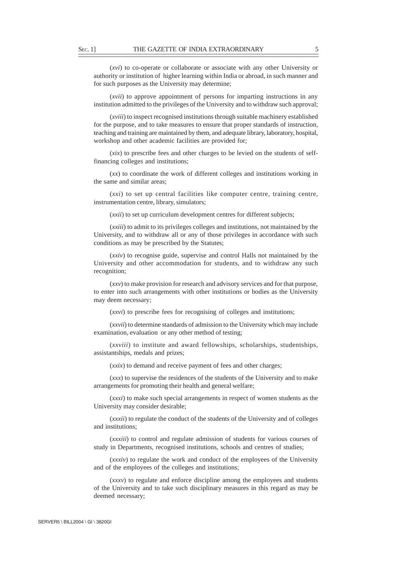(*xvi*) to co-operate or collaborate or associate with any other University or authority or institution of higher learning within India or abroad, in such manner and for such purposes as the University may determine;

(*xvii*) to approve appointment of persons for imparting instructions in any institution admitted to the privileges of the University and to withdraw such approval;

(*xviii*) to inspect recognised institutions through suitable machinery established for the purpose, and to take measures to ensure that proper standards of instruction, teaching and training are maintained by them, and adequate library, laboratory, hospital, workshop and other academic facilities are provided for;

(*xix*) to prescribe fees and other charges to be levied on the students of selffinancing colleges and institutions;

(*xx*) to coordinate the work of different colleges and institutions working in the same and similar areas;

(*xxi*) to set up central facilities like computer centre, training centre, instrumentation centre, library, simulators;

(*xxii*) to set up curriculum development centres for different subjects;

(*xxiii*) to admit to its privileges colleges and institutions, not maintained by the University, and to withdraw all or any of those privileges in accordance with such conditions as may be prescribed by the Statutes;

(*xxiv*) to recognise guide, supervise and control Halls not maintained by the University and other accommodation for students, and to withdraw any such recognition;

(*xxv*) to make provision for research and advisory services and for that purpose, to enter into such arrangements with other institutions or bodies as the University may deem necessary;

(*xxvi*) to prescribe fees for recognising of colleges and institutions;

(*xxvii*) to determine standards of admission to the University which may include examination, evaluation or any other method of testing;

(*xxviii*) to institute and award fellowships, scholarships, studentships, assistantships, medals and prizes;

(*xxix*) to demand and receive payment of fees and other charges;

(*xxx*) to supervise the residences of the students of the University and to make arrangements for promoting their health and general welfare;

(*xxxi*) to make such special arrangements in respect of women students as the University may consider desirable;

(*xxxii*) to regulate the conduct of the students of the University and of colleges and institutions;

(*xxxiii*) to control and regulate admission of students for various courses of study in Departments, recognised institutions, schools and centres of studies;

(*xxxiv*) to regulate the work and conduct of the employees of the University and of the employees of the colleges and institutions;

(*xxxv*) to regulate and enforce discipline among the employees and students of the University and to take such disciplinary measures in this regard as may be deemed necessary;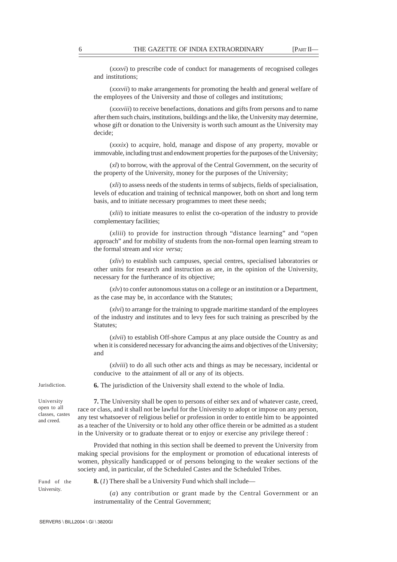(*xxxvi*) to prescribe code of conduct for managements of recognised colleges and institutions;

(*xxxvii*) to make arrangements for promoting the health and general welfare of the employees of the University and those of colleges and institutions;

(*xxxviii*) to receive benefactions, donations and gifts from persons and to name after them such chairs, institutions, buildings and the like, the University may determine, whose gift or donation to the University is worth such amount as the University may decide;

(*xxxix*) to acquire, hold, manage and dispose of any property, movable or immovable, including trust and endowment properties for the purposes of the University;

(*xl*) to borrow, with the approval of the Central Government, on the security of the property of the University, money for the purposes of the University;

(*xli*) to assess needs of the students in terms of subjects, fields of specialisation, levels of education and training of technical manpower, both on short and long term basis, and to initiate necessary programmes to meet these needs;

(*xlii*) to initiate measures to enlist the co-operation of the industry to provide complementary facilities;

(*xliii*) to provide for instruction through "distance learning" and "open approach" and for mobility of students from the non-formal open learning stream to the formal stream and *vice versa;*

(*xliv*) to establish such campuses, special centres, specialised laboratories or other units for research and instruction as are, in the opinion of the University, necessary for the furtherance of its objective;

(*xlv*) to confer autonomous status on a college or an institution or a Department, as the case may be, in accordance with the Statutes;

(*xlvi*) to arrange for the training to upgrade maritime standard of the employees of the industry and institutes and to levy fees for such training as prescribed by the Statutes;

(*xlvii*) to establish Off-shore Campus at any place outside the Country as and when it is considered necessary for advancing the aims and objectives of the University; and

(*xlviii*) to do all such other acts and things as may be necessary, incidental or conducive to the attainment of all or any of its objects.

Jurisdiction.

University open to all classes, castes and creed.

**6.** The jurisdiction of the University shall extend to the whole of India.

**7.** The University shall be open to persons of either sex and of whatever caste, creed, race or class, and it shall not be lawful for the University to adopt or impose on any person, any test whatsoever of religious belief or profession in order to entitle him to be appointed as a teacher of the University or to hold any other office therein or be admitted as a student in the University or to graduate thereat or to enjoy or exercise any privilege thereof :

Provided that nothing in this section shall be deemed to prevent the University from making special provisions for the employment or promotion of educational interests of women, physically handicapped or of persons belonging to the weaker sections of the society and, in particular, of the Scheduled Castes and the Scheduled Tribes.

Fund of the University.

**8.** (*1*) There shall be a University Fund which shall include—

(*a*) any contribution or grant made by the Central Government or an instrumentality of the Central Government;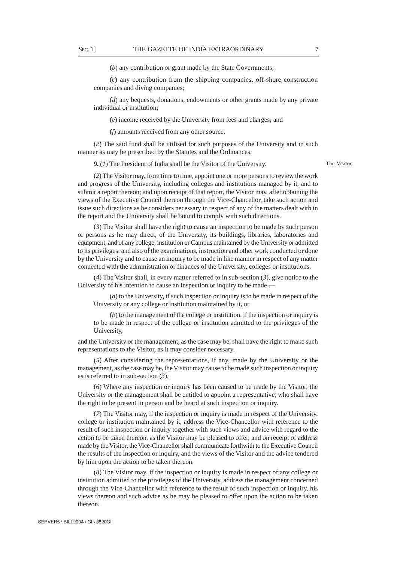(*b*) any contribution or grant made by the State Governments;

(*c*) any contribution from the shipping companies, off-shore construction companies and diving companies;

(*d*) any bequests, donations, endowments or other grants made by any private individual or institution;

(*e*) income received by the University from fees and charges; and

(*f*) amounts received from any other source.

(*2*) The said fund shall be utilised for such purposes of the University and in such manner as may be prescribed by the Statutes and the Ordinances.

**9.** (*1*) The President of India shall be the Visitor of the University.

The Visitor.

(*2*) The Visitor may, from time to time, appoint one or more persons to review the work and progress of the University, including colleges and institutions managed by it, and to submit a report thereon; and upon receipt of that report, the Visitor may, after obtaining the views of the Executive Council thereon through the Vice-Chancellor, take such action and issue such directions as he considers necessary in respect of any of the matters dealt with in the report and the University shall be bound to comply with such directions.

(*3*) The Visitor shall have the right to cause an inspection to be made by such person or persons as he may direct, of the University, its buildings, libraries, laboratories and equipment, and of any college, institution or Campus maintained by the University or admitted to its privileges; and also of the examinations, instruction and other work conducted or done by the University and to cause an inquiry to be made in like manner in respect of any matter connected with the administration or finances of the University, colleges or institutions.

(*4*) The Visitor shall, in every matter referred to in sub-section (*3*), give notice to the University of his intention to cause an inspection or inquiry to be made,—

(*a*) to the University, if such inspection or inquiry is to be made in respect of the University or any college or institution maintained by it, or

(*b*) to the management of the college or institution, if the inspection or inquiry is to be made in respect of the college or institution admitted to the privileges of the University,

and the University or the management, as the case may be, shall have the right to make such representations to the Visitor, as it may consider necessary.

(*5*) After considering the representations, if any, made by the University or the management, as the case may be, the Visitor may cause to be made such inspection or inquiry as is referred to in sub-section (*3*).

(*6*) Where any inspection or inquiry has been caused to be made by the Visitor, the University or the management shall be entitled to appoint a representative, who shall have the right to be present in person and be heard at such inspection or inquiry.

(*7*) The Visitor may, if the inspection or inquiry is made in respect of the University, college or institution maintained by it, address the Vice-Chancellor with reference to the result of such inspection or inquiry together with such views and advice with regard to the action to be taken thereon, as the Visitor may be pleased to offer, and on receipt of address made by the Visitor, the Vice-Chancellor shall communicate forthwith to the Executive Council the results of the inspection or inquiry, and the views of the Visitor and the advice tendered by him upon the action to be taken thereon.

(*8*) The Visitor may, if the inspection or inquiry is made in respect of any college or institution admitted to the privileges of the University, address the management concerned through the Vice-Chancellor with reference to the result of such inspection or inquiry, his views thereon and such advice as he may be pleased to offer upon the action to be taken thereon.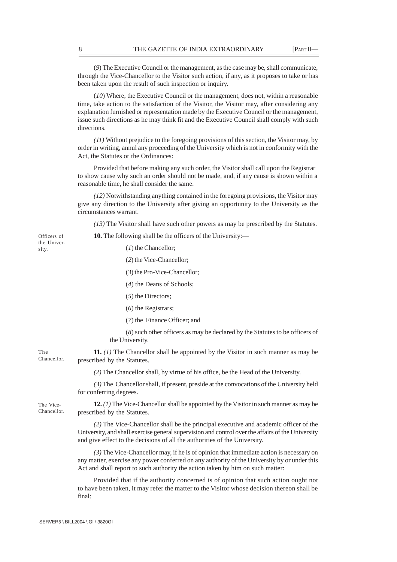(*9*) The Executive Council or the management, as the case may be, shall communicate, through the Vice-Chancellor to the Visitor such action, if any, as it proposes to take or has been taken upon the result of such inspection or inquiry.

(*10*) Where, the Executive Council or the management, does not, within a reasonable time, take action to the satisfaction of the Visitor, the Visitor may, after considering any explanation furnished or representation made by the Executive Council or the management, issue such directions as he may think fit and the Executive Council shall comply with such directions.

*(11)* Without prejudice to the foregoing provisions of this section, the Visitor may, by order in writing, annul any proceeding of the University which is not in conformity with the Act, the Statutes or the Ordinances:

Provided that before making any such order, the Visitor shall call upon the Registrar to show cause why such an order should not be made, and, if any cause is shown within a reasonable time, he shall consider the same.

*(12)* Notwithstanding anything contained in the foregoing provisions, the Visitor may give any direction to the University after giving an opportunity to the University as the circumstances warrant.

*(13)* The Visitor shall have such other powers as may be prescribed by the Statutes.

**10.** The following shall be the officers of the University:—

(*1*) the Chancellor;

(*2*) the Vice-Chancellor;

(*3*) the Pro-Vice-Chancellor;

(*4*) the Deans of Schools;

(*5*) the Directors;

(*6*) the Registrars;

(*7*) the Finance Officer; and

(*8*) such other officers as may be declared by the Statutes to be officers of the University.

**11.** *(1)* The Chancellor shall be appointed by the Visitor in such manner as may be prescribed by the Statutes. Chancellor.

*(2)* The Chancellor shall, by virtue of his office, be the Head of the University.

*(3)* The Chancellor shall, if present, preside at the convocations of the University held for conferring degrees.

**12.** *(1)* The Vice-Chancellor shall be appointed by the Visitor in such manner as may be prescribed by the Statutes.

*(2)* The Vice-Chancellor shall be the principal executive and academic officer of the University, and shall exercise general supervision and control over the affairs of the University and give effect to the decisions of all the authorities of the University.

*(3)* The Vice-Chancellor may, if he is of opinion that immediate action is necessary on any matter, exercise any power conferred on any authority of the University by or under this Act and shall report to such authority the action taken by him on such matter:

Provided that if the authority concerned is of opinion that such action ought not to have been taken, it may refer the matter to the Visitor whose decision thereon shall be final:

Officers of the University.

The

The Vice-Chancellor.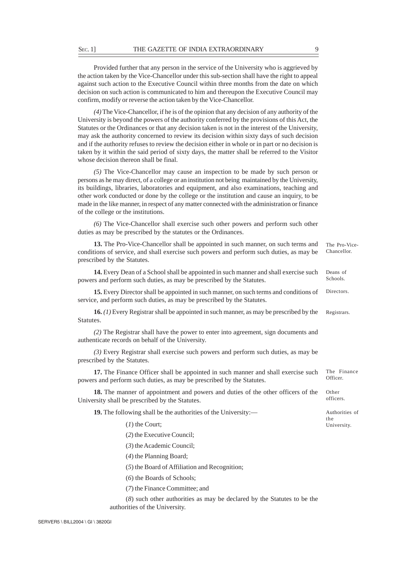## SEC. 1] THE GAZETTE OF INDIA EXTRAORDINARY 9

Provided further that any person in the service of the University who is aggrieved by the action taken by the Vice-Chancellor under this sub-section shall have the right to appeal against such action to the Executive Council within three months from the date on which decision on such action is communicated to him and thereupon the Executive Council may confirm, modify or reverse the action taken by the Vice-Chancellor.

*(4)* The Vice-Chancellor, if he is of the opinion that any decision of any authority of the University is beyond the powers of the authority conferred by the provisions of this Act, the Statutes or the Ordinances or that any decision taken is not in the interest of the University, may ask the authority concerned to review its decision within sixty days of such decision and if the authority refuses to review the decision either in whole or in part or no decision is taken by it within the said period of sixty days, the matter shall be referred to the Visitor whose decision thereon shall be final.

*(5)* The Vice-Chancellor may cause an inspection to be made by such person or persons as he may direct, of a college or an institution not being maintained by the University, its buildings, libraries, laboratories and equipment, and also examinations, teaching and other work conducted or done by the college or the institution and cause an inquiry, to be made in the like manner, in respect of any matter connected with the administration or finance of the college or the institutions.

*(6)* The Vice-Chancellor shall exercise such other powers and perform such other duties as may be prescribed by the statutes or the Ordinances.

**13.** The Pro-Vice-Chancellor shall be appointed in such manner, on such terms and conditions of service, and shall exercise such powers and perform such duties, as may be prescribed by the Statutes. The Pro-Vice-Chancellor.

**14.** Every Dean of a School shall be appointed in such manner and shall exercise such powers and perform such duties, as may be prescribed by the Statutes.

**15.** Every Director shall be appointed in such manner, on such terms and conditions of service, and perform such duties, as may be prescribed by the Statutes. **Directors** 

**16.** *(1)* Every Registrar shall be appointed in such manner, as may be prescribed by the Statutes. Registrars.

*(2)* The Registrar shall have the power to enter into agreement, sign documents and authenticate records on behalf of the University.

*(3)* Every Registrar shall exercise such powers and perform such duties, as may be prescribed by the Statutes.

**17.** The Finance Officer shall be appointed in such manner and shall exercise such powers and perform such duties, as may be prescribed by the Statutes. The Finance Officer.

**18.** The manner of appointment and powers and duties of the other officers of the University shall be prescribed by the Statutes.

**19.** The following shall be the authorities of the University:—

(*1*) the Court;

(*2*) the Executive Council;

(*3*) the Academic Council;

(*4*) the Planning Board;

(*5*) the Board of Affiliation and Recognition;

(*6*) the Boards of Schools;

(*7*) the Finance Committee; and

(*8*) such other authorities as may be declared by the Statutes to be the authorities of the University.

Deans of Schools.

Other officers.

the University.

Authorities of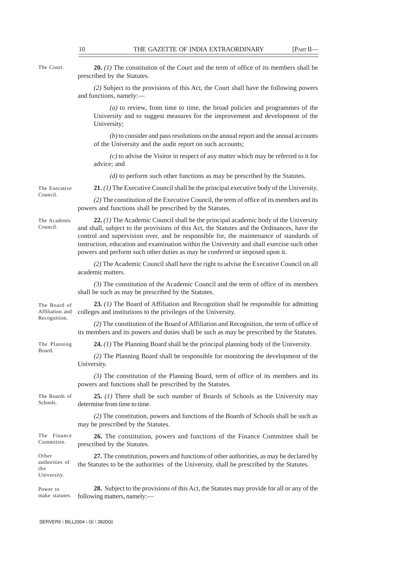The Court.

**20.** *(1)* The constitution of the Court and the term of office of its members shall be prescribed by the Statutes.

*(2)* Subject to the provisions of this Act, the Court shall have the following powers and functions, namely:—

*(a)* to review, from time to time, the broad policies and programmes of the University and to suggest measures for the improvement and development of the University;

*(b)* to consider and pass resolutions on the annual report and the annual accounts of the University and the audit report on such accounts;

*(c)* to advise the Visitor in respect of any matter which may be referred to it for advice; and

*(d)* to perform such other functions as may be prescribed by the Statutes.

The Executive Council.

**21.** *(1)* The Executive Council shall be the principal executive body of the University.

*(2)* The constitution of the Executive Council, the term of office of its members and its powers and functions shall be prescribed by the Statutes.

The Academic Council.

**22.** *(1)* The Academic Council shall be the principal academic body of the University and shall, subject to the provisions of this Act, the Statutes and the Ordinances, have the control and supervision over, and be responsible for, the maintenance of standards of instruction, education and examination within the University and shall exercise such other powers and perform such other duties as may be conferred or imposed upon it.

*(2)* The Academic Council shall have the right to advise the Executive Council on all academic matters.

*(3)* The constitution of the Academic Council and the term of office of its members shall be such as may be prescribed by the Statutes.

The Board of Affiliation and Recognition.

The Planning Board.

**23.** *(1)* The Board of Affiliation and Recognition shall be responsible for admitting colleges and institutions to the privileges of the University.

*(2)* The constitution of the Board of Affiliation and Recognition, the term of office of its members and its powers and duties shall be such as may be prescribed by the Statutes.

**24.** *(1)* The Planning Board shall be the principal planning body of the University.

*(2)* The Planning Board shall be responsible for monitoring the development of the University.

*(3)* The constitution of the Planning Board, term of office of its members and its powers and functions shall be prescribed by the Statutes.

The Boards of Schools.

**25.** *(1)* There shall be such number of Boards of Schools as the University may determine from time to time.

*(2)* The constitution, powers and functions of the Boards of Schools shall be such as may be prescribed by the Statutes.

**26.** The constitution, powers and functions of the Finance Committee shall be prescribed by the Statutes. The Finance Committee.

**27.** The constitution, powers and functions of other authorities, as may be declared by the Statutes to be the authorities of the University, shall be prescribed by the Statutes. Other authorities of the University.

**28.** Subject to the provisions of this Act, the Statutes may provide for all or any of the following matters, namely:— Power to make statutes.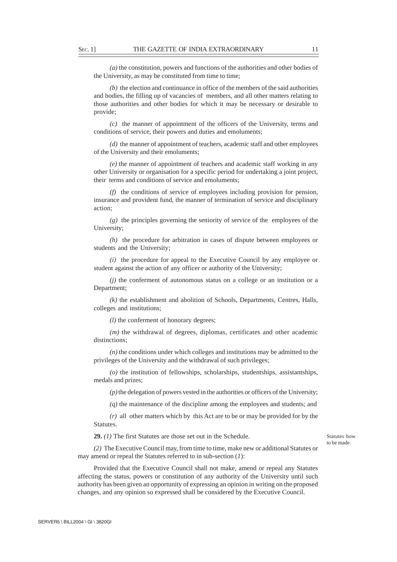*(a)* the constitution, powers and functions of the authorities and other bodies of the University, as may be constituted from time to time;

*(b)* the election and continuance in office of the members of the said authorities and bodies, the filling up of vacancies of members, and all other matters relating to those authorities and other bodies for which it may be necessary or desirable to provide;

*(c)* the manner of appointment of the officers of the University, terms and conditions of service, their powers and duties and emoluments;

*(d)* the manner of appointment of teachers, academic staff and other employees of the University and their emoluments;

*(e)* the manner of appointment of teachers and academic staff working in any other University or organisation for a specific period for undertaking a joint project, their terms and conditions of service and emoluments;

*(f)* the conditions of service of employees including provision for pension, insurance and provident fund, the manner of termination of service and disciplinary action;

*(g)* the principles governing the seniority of service of the employees of the University;

*(h)* the procedure for arbitration in cases of dispute between employees or students and the University;

*(i)* the procedure for appeal to the Executive Council by any employee or student against the action of any officer or authority of the University;

*(j)* the conferment of autonomous status on a college or an institution or a Department;

*(k)* the establishment and abolition of Schools, Departments, Centres, Halls, colleges and institutions;

*(l)* the conferment of honorary degrees;

*(m)* the withdrawal of degrees, diplomas, certificates and other academic distinctions;

*(n)* the conditions under which colleges and institutions may be admitted to the privileges of the University and the withdrawal of such privileges;

*(o)* the institution of fellowships, scholarships, studentships, assistantships, medals and prizes;

*(p)* the delegation of powers vested in the authorities or officers of the University;

*(q)* the maintenance of the discipline among the employees and students; and

*(r)* all other matters which by this Act are to be or may be provided for by the Statutes.

**29.** *(1)* The first Statutes are those set out in the Schedule.

Statutes how to be made.

*(2)* The Executive Council may, from time to time, make new or additional Statutes or may amend or repeal the Statutes referred to in sub-section (*1*):

Provided that the Executive Council shall not make, amend or repeal any Statutes affecting the status, powers or constitution of any authority of the University until such authority has been given an opportunity of expressing an opinion in writing on the proposed changes, and any opinion so expressed shall be considered by the Executive Council.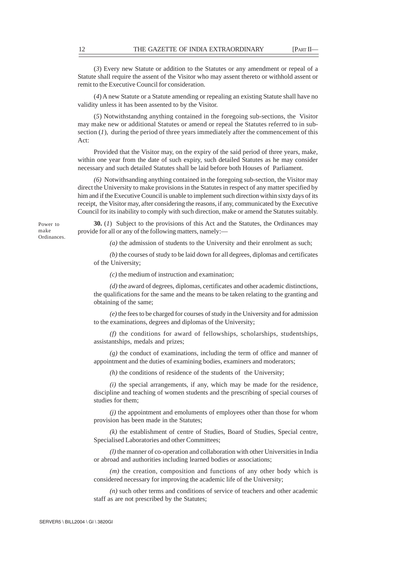(*3*) Every new Statute or addition to the Statutes or any amendment or repeal of a Statute shall require the assent of the Visitor who may assent thereto or withhold assent or remit to the Executive Council for consideration.

(*4*) A new Statute or a Statute amending or repealing an existing Statute shall have no validity unless it has been assented to by the Visitor.

(*5*) Notwithstandng anything contained in the foregoing sub-sections, the Visitor may make new or additional Statutes or amend or repeal the Statutes referred to in subsection (*1*)*,* during the period of three years immediately after the commencement of this Act:

Provided that the Visitor may, on the expiry of the said period of three years, make, within one year from the date of such expiry, such detailed Statutes as he may consider necessary and such detailed Statutes shall be laid before both Houses of Parliament.

*(6)* Notwithsanding anything contained in the foregoing sub-section, the Visitor may direct the University to make provisions in the Statutes in respect of any matter specified by him and if the Executive Council is unable to implement such direction within sixty days of its receipt, the Visitor may, after considering the reasons, if any, communicated by the Executive Council for its inability to comply with such direction, make or amend the Statutes suitably.

Power to make Ordinances.

**30.** (*1*) Subject to the provisions of this Act and the Statutes, the Ordinances may provide for all or any of the following matters, namely:—

*(a)* the admission of students to the University and their enrolment as such;

*(b)* the courses of study to be laid down for all degrees, diplomas and certificates of the University;

*(c)* the medium of instruction and examination;

*(d)* the award of degrees, diplomas, certificates and other academic distinctions, the qualifications for the same and the means to be taken relating to the granting and obtaining of the same;

*(e)* the fees to be charged for courses of study in the University and for admission to the examinations, degrees and diplomas of the University;

*(f)* the conditions for award of fellowships, scholarships, studentships, assistantships, medals and prizes;

*(g)* the conduct of examinations, including the term of office and manner of appointment and the duties of examining bodies, examiners and moderators;

 $(h)$  the conditions of residence of the students of the University;

*(i)* the special arrangements, if any, which may be made for the residence, discipline and teaching of women students and the prescribing of special courses of studies for them;

*(j)* the appointment and emoluments of employees other than those for whom provision has been made in the Statutes;

*(k)* the establishment of centre of Studies, Board of Studies, Special centre, Specialised Laboratories and other Committees;

*(l)* the manner of co-operation and collaboration with other Universities in India or abroad and authorities including learned bodies or associations;

*(m)* the creation, composition and functions of any other body which is considered necessary for improving the academic life of the University;

*(n)* such other terms and conditions of service of teachers and other academic staff as are not prescribed by the Statutes;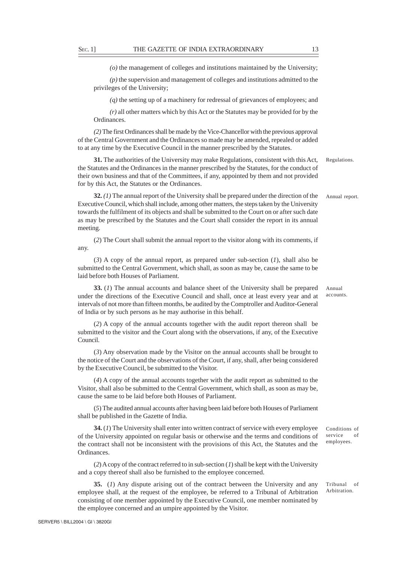*(o)* the management of colleges and institutions maintained by the University;

*(p)* the supervision and management of colleges and institutions admitted to the privileges of the University;

*(q)* the setting up of a machinery for redressal of grievances of employees; and

*(r)* all other matters which by this Act or the Statutes may be provided for by the Ordinances.

*(2)* The first Ordinances shall be made by the Vice-Chancellor with the previous approval of the Central Government and the Ordinances so made may be amended, repealed or added to at any time by the Executive Council in the manner prescribed by the Statutes.

**31.** The authorities of the University may make Regulations, consistent with this Act, the Statutes and the Ordinances in the manner prescribed by the Statutes, for the conduct of their own business and that of the Committees, if any, appointed by them and not provided for by this Act, the Statutes or the Ordinances.

**32.** *(1)* The annual report of the University shall be prepared under the direction of the Executive Council, which shall include, among other matters, the steps taken by the University towards the fulfilment of its objects and shall be submitted to the Court on or after such date as may be prescribed by the Statutes and the Court shall consider the report in its annual meeting.

(*2*) The Court shall submit the annual report to the visitor along with its comments, if any.

(*3*) A copy of the annual report, as prepared under sub-section (*1*), shall also be submitted to the Central Government, which shall, as soon as may be, cause the same to be laid before both Houses of Parliament.

**33.** (*1*) The annual accounts and balance sheet of the University shall be prepared under the directions of the Executive Council and shall, once at least every year and at intervals of not more than fifteen months, be audited by the Comptroller and Auditor-General of India or by such persons as he may authorise in this behalf.

(*2*) A copy of the annual accounts together with the audit report thereon shall be submitted to the visitor and the Court along with the observations, if any, of the Executive Council.

(*3*) Any observation made by the Visitor on the annual accounts shall be brought to the notice of the Court and the observations of the Court, if any, shall, after being considered by the Executive Council, be submitted to the Visitor.

(*4*) A copy of the annual accounts together with the audit report as submitted to the Visitor, shall also be submitted to the Central Government, which shall, as soon as may be, cause the same to be laid before both Houses of Parliament.

(*5*) The audited annual accounts after having been laid before both Houses of Parliament shall be published in the Gazette of India.

**34.** (*1*) The University shall enter into written contract of service with every employee of the University appointed on regular basis or otherwise and the terms and conditions of the contract shall not be inconsistent with the provisions of this Act, the Statutes and the Ordinances.

(*2*) A copy of the contract referred to in sub-section (*1*) shall be kept with the University and a copy thereof shall also be furnished to the employee concerned.

**35.** (*1*) Any dispute arising out of the contract between the University and any employee shall, at the request of the employee, be referred to a Tribunal of Arbitration consisting of one member appointed by the Executive Council, one member nominated by the employee concerned and an umpire appointed by the Visitor.

Conditions of service of employees.

Regulations.

Annual accounts.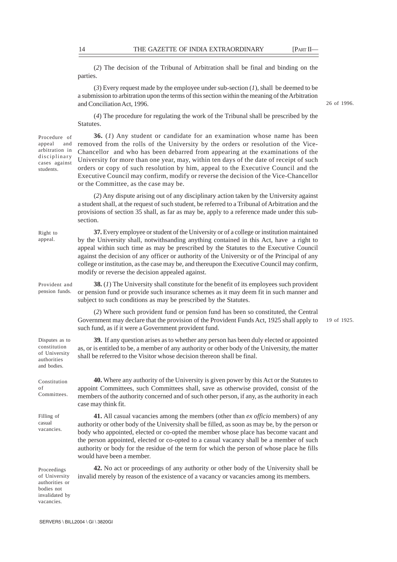26 of 1996.

(*2*) The decision of the Tribunal of Arbitration shall be final and binding on the parties.

(*3*) Every request made by the employee under sub-section (*1*), shall be deemed to be a submission to arbitration upon the terms of this section within the meaning of the Arbitration and Conciliation Act, 1996.

(*4*) The procedure for regulating the work of the Tribunal shall be prescribed by the Statutes.

Procedure of appeal and arbitration in disciplinary cases against students.

Right to appeal.

constitution of University authorities and bodies.

Constitution of

Committees.

Filling of casual vacancies.

**36.** (*1*) Any student or candidate for an examination whose name has been removed from the rolls of the University by the orders or resolution of the Vice-Chancellor and who has been debarred from appearing at the examinations of the University for more than one year, may, within ten days of the date of receipt of such orders or copy of such resolution by him, appeal to the Executive Council and the Executive Council may confirm, modify or reverse the decision of the Vice-Chancellor or the Committee, as the case may be.

(*2*) Any dispute arising out of any disciplinary action taken by the University against a student shall, at the request of such student, be referred to a Tribunal of Arbitration and the provisions of section 35 shall, as far as may be, apply to a reference made under this subsection.

**37.** Every employee or student of the University or of a college or institution maintained by the University shall, notwithsanding anything contained in this Act, have a right to appeal within such time as may be prescribed by the Statutes to the Executive Council against the decision of any officer or authority of the University or of the Principal of any college or institution, as the case may be, and thereupon the Executive Council may confirm, modify or reverse the decision appealed against.

**38.** (*1*) The University shall constitute for the benefit of its employees such provident or pension fund or provide such insurance schemes as it may deem fit in such manner and subject to such conditions as may be prescribed by the Statutes. Provident and pension funds.

> (*2*) Where such provident fund or pension fund has been so constituted, the Central Government may declare that the provision of the Provident Funds Act, 1925 shall apply to such fund, as if it were a Government provident fund.

19 of 1925.

**39.** If any question arises as to whether any person has been duly elected or appointed as, or is entitled to be, a member of any authority or other body of the University, the matter shall be referred to the Visitor whose decision thereon shall be final. Disputes as to

> **40.** Where any authority of the University is given power by this Act or the Statutes to appoint Committees, such Committees shall, save as otherwise provided, consist of the members of the authority concerned and of such other person, if any, as the authority in each case may think fit.

> **41.** All casual vacancies among the members (other than *ex officio* members) of any authority or other body of the University shall be filled, as soon as may be, by the person or body who appointed, elected or co-opted the member whose place has become vacant and the person appointed, elected or co-opted to a casual vacancy shall be a member of such authority or body for the residue of the term for which the person of whose place he fills would have been a member.

**42.** No act or proceedings of any authority or other body of the University shall be invalid merely by reason of the existence of a vacancy or vacancies among its members.

Proceedings of University authorities or bodies not invalidated by vacancies.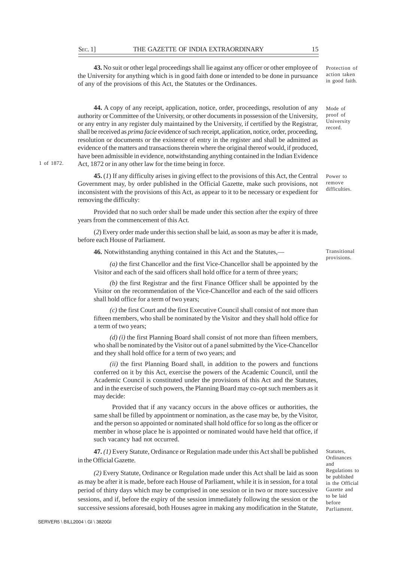**43.** No suit or other legal proceedings shall lie against any officer or other employee of the University for anything which is in good faith done or intended to be done in pursuance of any of the provisions of this Act, the Statutes or the Ordinances.

**44.** A copy of any receipt, application, notice, order, proceedings, resolution of any authority or Committee of the University, or other documents in possession of the University, or any entry in any register duly maintained by the University, if certified by the Registrar, shall be received as *prima facie* evidence of such receipt, application, notice, order, proceeding, resolution or documents or the existence of entry in the register and shall be admitted as evidence of the matters and transactions therein where the original thereof would, if produced, have been admissible in evidence, notwithstanding anything contained in the Indian Evidence Act, 1872 or in any other law for the time being in force.

**45.** (*1*) If any difficulty arises in giving effect to the provisions of this Act, the Central Government may, by order published in the Official Gazette, make such provisions, not inconsistent with the provisions of this Act, as appear to it to be necessary or expedient for removing the difficulty:

Provided that no such order shall be made under this section after the expiry of three years from the commencement of this Act.

(*2*) Every order made under this section shall be laid, as soon as may be after it is made, before each House of Parliament.

**46.** Notwithstanding anything contained in this Act and the Statutes,—

*(a)* the first Chancellor and the first Vice-Chancellor shall be appointed by the Visitor and each of the said officers shall hold office for a term of three years;

*(b)* the first Registrar and the first Finance Officer shall be appointed by the Visitor on the recommendation of the Vice-Chancellor and each of the said officers shall hold office for a term of two years;

*(c)* the first Court and the first Executive Council shall consist of not more than fifteen members, who shall be nominated by the Visitor and they shall hold office for a term of two years;

*(d) (i)* the first Planning Board shall consist of not more than fifteen members, who shall be nominated by the Visitor out of a panel submitted by the Vice-Chancellor and they shall hold office for a term of two years; and

*(ii)* the first Planning Board shall, in addition to the powers and functions conferred on it by this Act, exercise the powers of the Academic Council, until the Academic Council is constituted under the provisions of this Act and the Statutes, and in the exercise of such powers, the Planning Board may co-opt such members as it may decide:

 Provided that if any vacancy occurs in the above offices or authorities, the same shall be filled by appointment or nomination, as the case may be, by the Visitor, and the person so appointed or nominated shall hold office for so long as the officer or member in whose place he is appointed or nominated would have held that office, if such vacancy had not occurred.

**47.** *(1)* Every Statute, Ordinance or Regulation made under this Act shall be published in the Official Gazette.

*(2)* Every Statute, Ordinance or Regulation made under this Act shall be laid as soon as may be after it is made, before each House of Parliament, while it is in session, for a total period of thirty days which may be comprised in one session or in two or more successive sessions, and if, before the expiry of the session immediately following the session or the successive sessions aforesaid, both Houses agree in making any modification in the Statute,

Transitional provisions.

Protection of action taken in good faith.

Mode of proof of University record.

Statutes, Ordinances and

Regulations to be published in the Official Gazette and to be laid before Parliament.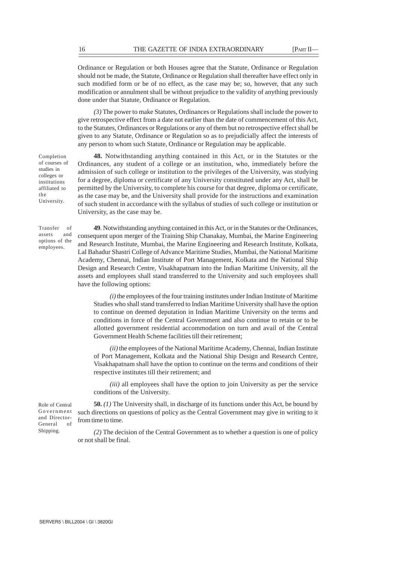Ordinance or Regulation or both Houses agree that the Statute, Ordinance or Regulation should not be made, the Statute, Ordinance or Regulation shall thereafter have effect only in such modified form or be of no effect, as the case may be; so, however, that any such modification or annulment shall be without prejudice to the validity of anything previously done under that Statute, Ordinance or Regulation.

*(3)* The power to make Statutes, Ordinances or Regulations shall include the power to give retrospective effect from a date not earlier than the date of commencement of this Act, to the Statutes, Ordinances or Regulations or any of them but no retrospective effect shall be given to any Statute, Ordinance or Regulation so as to prejudicially affect the interests of any person to whom such Statute, Ordinance or Regulation may be applicable.

University.

**48***.* Notwithstanding anything contained in this Act, or in the Statutes or the Ordinances, any student of a college or an institution, who, immediately before the admission of such college or institution to the privileges of the University, was studying for a degree, diploma or certificate of any University constituted under any Act, shall be permitted by the University, to complete his course for that degree, diploma or certificate, as the case may be, and the University shall provide for the instructions and examination of such student in accordance with the syllabus of studies of such college or institution or University, as the case may be.

**49***.* Notwithstanding anything contained in this Act, or in the Statutes or the Ordinances, consequent upon merger of the Training Ship Chanakay, Mumbai, the Marine Engineering and Research Institute, Mumbai, the Marine Engineering and Research Institute, Kolkata, Lal Bahadur Shastri College of Advance Maritime Studies, Mumbai, the National Maritime Academy, Chennai, Indian Institute of Port Management, Kolkata and the National Ship Design and Research Centre, Visakhapatnam into the Indian Maritime University, all the assets and employees shall stand transferred to the University and such employees shall have the following options:

 $(i)$  the employees of the four training institutes under Indian Institute of Maritime Studies who shall stand transferred to Indian Maritime University shall have the option to continue on deemed deputation in Indian Maritime University on the terms and conditions in force of the Central Government and also continue to retain or to be allotted government residential accommodation on turn and avail of the Central Government Health Scheme facilities till their retirement;

*(ii)* the employees of the National Maritime Academy, Chennai, Indian Institute of Port Management, Kolkata and the National Ship Design and Research Centre, Visakhapatnam shall have the option to continue on the terms and conditions of their respective institutes till their retirement; and

*(iii)* all employees shall have the option to join University as per the service conditions of the University.

**50.** *(1)* The University shall, in discharge of its functions under this Act, be bound by such directions on questions of policy as the Central Government may give in writing to it from time to time.

*(2)* The decision of the Central Government as to whether a question is one of policy or not shall be final.

Completion of courses of studies in colleges or institutions affiliated to the

Transfer of assets and options of the employees.

Role of Central Government and Director-General of Shipping.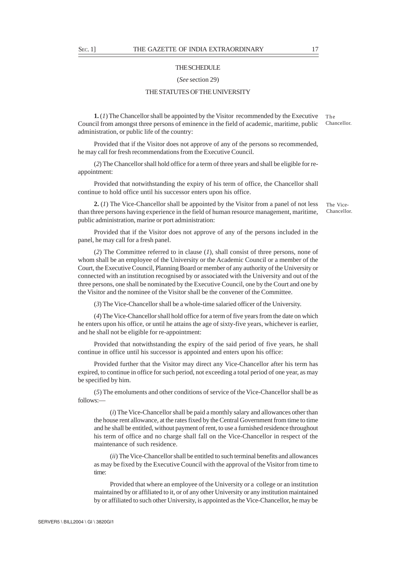## **THE SCHEDULE**

### (*See* section 29)

## THE STATUTES OF THE UNIVERSITY

**1.** (*1*) The Chancellor shall be appointed by the Visitor recommended by the Executive Council from amongst three persons of eminence in the field of academic, maritime, public administration, or public life of the country: The Chancellor.

Provided that if the Visitor does not approve of any of the persons so recommended, he may call for fresh recommendations from the Executive Council.

(*2*) The Chancellor shall hold office for a term of three years and shall be eligible for reappointment:

Provided that notwithstanding the expiry of his term of office, the Chancellor shall continue to hold office until his successor enters upon his office.

**2.** (*1*) The Vice-Chancellor shall be appointed by the Visitor from a panel of not less than three persons having experience in the field of human resource management, maritime, public administration, marine or port administration:

Provided that if the Visitor does not approve of any of the persons included in the panel, he may call for a fresh panel.

(*2*) The Committee referred to in clause (*1*), shall consist of three persons, none of whom shall be an employee of the University or the Academic Council or a member of the Court, the Executive Council, Planning Board or member of any authority of the University or connected with an institution recognised by or associated with the University and out of the three persons, one shall be nominated by the Executive Council, one by the Court and one by the Visitor and the nominee of the Visitor shall be the convener of the Committee.

(*3*) The Vice-Chancellor shall be a whole-time salaried officer of the University.

(*4*) The Vice-Chancellor shall hold office for a term of five years from the date on which he enters upon his office, or until he attains the age of sixty-five years, whichever is earlier, and he shall not be eligible for re-appointment:

Provided that notwithstanding the expiry of the said period of five years, he shall continue in office until his successor is appointed and enters upon his office:

Provided further that the Visitor may direct any Vice-Chancellor after his term has expired, to continue in office for such period, not exceeding a total period of one year, as may be specified by him.

(*5*) The emoluments and other conditions of service of the Vice-Chancellor shall be as follows:—

(*i*) The Vice-Chancellor shall be paid a monthly salary and allowances other than the house rent allowance, at the rates fixed by the Central Government from time to time and he shall be entitled, without payment of rent, to use a furnished residence throughout his term of office and no charge shall fall on the Vice-Chancellor in respect of the maintenance of such residence.

(*ii*) The Vice-Chancellor shall be entitled to such terminal benefits and allowances as may be fixed by the Executive Council with the approval of the Visitor from time to time:

Provided that where an employee of the University or a college or an institution maintained by or affiliated to it, or of any other University or any institution maintained by or affiliated to such other University, is appointed as the Vice-Chancellor, he may be

The Vice-Chancellor.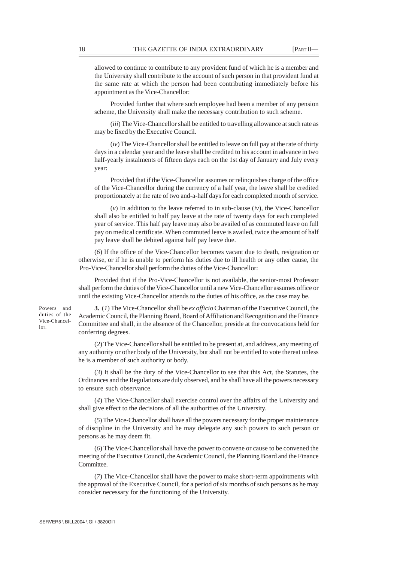allowed to continue to contribute to any provident fund of which he is a member and the University shall contribute to the account of such person in that provident fund at the same rate at which the person had been contributing immediately before his appointment as the Vice-Chancellor:

Provided further that where such employee had been a member of any pension scheme, the University shall make the necessary contribution to such scheme.

(*iii*) The Vice-Chancellor shall be entitled to travelling allowance at such rate as may be fixed by the Executive Council.

(*iv*) The Vice-Chancellor shall be entitled to leave on full pay at the rate of thirty days in a calendar year and the leave shall be credited to his account in advance in two half-yearly instalments of fifteen days each on the 1st day of January and July every year:

Provided that if the Vice-Chancellor assumes or relinquishes charge of the office of the Vice-Chancellor during the currency of a half year, the leave shall be credited proportionately at the rate of two and-a-half days for each completed month of service.

(*v*) In addition to the leave referred to in sub-clause (*iv*), the Vice-Chancellor shall also be entitled to half pay leave at the rate of twenty days for each completed year of service. This half pay leave may also be availed of as commuted leave on full pay on medical certificate. When commuted leave is availed, twice the amount of half pay leave shall be debited against half pay leave due.

(*6*) If the office of the Vice-Chancellor becomes vacant due to death, resignation or otherwise, or if he is unable to perform his duties due to ill health or any other cause, the Pro-Vice-Chancellor shall perform the duties of the Vice-Chancellor:

Provided that if the Pro-Vice-Chancellor is not available, the senior-most Professor shall perform the duties of the Vice-Chancellor until a new Vice-Chancellor assumes office or until the existing Vice-Chancellor attends to the duties of his office, as the case may be.

Powers and duties of the Vice-Chancellor.

**3.** (*1*) The Vice-Chancellor shall be *ex officio* Chairman of the Executive Council, the Academic Council, the Planning Board, Board of Affiliation and Recognition and the Finance Committee and shall, in the absence of the Chancellor, preside at the convocations held for conferring degrees.

(*2*) The Vice-Chancellor shall be entitled to be present at, and address, any meeting of any authority or other body of the University, but shall not be entitled to vote thereat unless he is a member of such authority or body.

(*3*) It shall be the duty of the Vice-Chancellor to see that this Act, the Statutes, the Ordinances and the Regulations are duly observed, and he shall have all the powers necessary to ensure such observance.

(*4*) The Vice-Chancellor shall exercise control over the affairs of the University and shall give effect to the decisions of all the authorities of the University.

(*5*) The Vice-Chancellor shall have all the powers necessary for the proper maintenance of discipline in the University and he may delegate any such powers to such person or persons as he may deem fit.

(*6*) The Vice-Chancellor shall have the power to convene or cause to be convened the meeting of the Executive Council, the Academic Council, the Planning Board and the Finance Committee.

(*7*) The Vice-Chancellor shall have the power to make short-term appointments with the approval of the Executive Council, for a period of six months of such persons as he may consider necessary for the functioning of the University.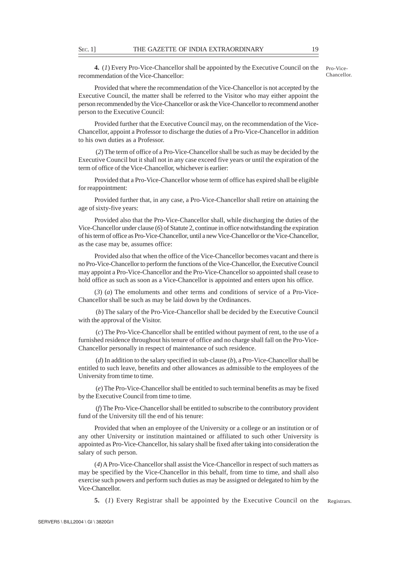**4.** (*1*) Every Pro-Vice-Chancellor shall be appointed by the Executive Council on the recommendation of the Vice-Chancellor:

Pro-Vice-Chancellor.

Provided that where the recommendation of the Vice-Chancellor is not accepted by the Executive Council, the matter shall be referred to the Visitor who may either appoint the person recommended by the Vice-Chancellor or ask the Vice-Chancellor to recommend another person to the Executive Council:

Provided further that the Executive Council may, on the recommendation of the Vice-Chancellor, appoint a Professor to discharge the duties of a Pro-Vice-Chancellor in addition to his own duties as a Professor.

 (*2*) The term of office of a Pro-Vice-Chancellor shall be such as may be decided by the Executive Council but it shall not in any case exceed five years or until the expiration of the term of office of the Vice-Chancellor, whichever is earlier:

Provided that a Pro-Vice-Chancellor whose term of office has expired shall be eligible for reappointment:

Provided further that, in any case, a Pro-Vice-Chancellor shall retire on attaining the age of sixty-five years:

Provided also that the Pro-Vice-Chancellor shall, while discharging the duties of the Vice-Chancellor under clause (*6*) of Statute 2, continue in office notwithstanding the expiration of his term of office as Pro-Vice-Chancellor, until a new Vice-Chancellor or the Vice-Chancellor, as the case may be, assumes office:

Provided also that when the office of the Vice-Chancellor becomes vacant and there is no Pro-Vice-Chancellor to perform the functions of the Vice-Chancellor, the Executive Council may appoint a Pro-Vice-Chancellor and the Pro-Vice-Chancellor so appointed shall cease to hold office as such as soon as a Vice-Chancellor is appointed and enters upon his office.

(*3*) (*a*) The emoluments and other terms and conditions of service of a Pro-Vice-Chancellor shall be such as may be laid down by the Ordinances.

 (*b*) The salary of the Pro-Vice-Chancellor shall be decided by the Executive Council with the approval of the Visitor.

 (*c*) The Pro-Vice-Chancellor shall be entitled without payment of rent, to the use of a furnished residence throughout his tenure of office and no charge shall fall on the Pro-Vice-Chancellor personally in respect of maintenance of such residence.

 (*d*) In addition to the salary specified in sub-clause (*b*), a Pro-Vice-Chancellor shall be entitled to such leave, benefits and other allowances as admissible to the employees of the University from time to time.

 (*e*) The Pro-Vice-Chancellor shall be entitled to such terminal benefits as may be fixed by the Executive Council from time to time.

 (*f*) The Pro-Vice-Chancellor shall be entitled to subscribe to the contributory provident fund of the University till the end of his tenure:

Provided that when an employee of the University or a college or an institution or of any other University or institution maintained or affiliated to such other University is appointed as Pro-Vice-Chancellor, his salary shall be fixed after taking into consideration the salary of such person.

(*4*) A Pro-Vice-Chancellor shall assist the Vice-Chancellor in respect of such matters as may be specified by the Vice-Chancellor in this behalf, from time to time, and shall also exercise such powers and perform such duties as may be assigned or delegated to him by the Vice-Chancellor.

**5.** (*1*) Every Registrar shall be appointed by the Executive Council on the Registrars.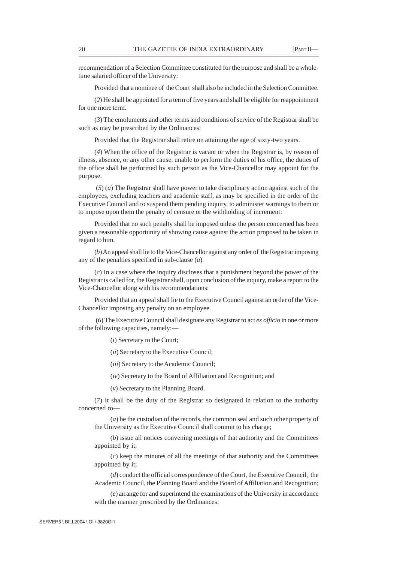recommendation of a Selection Committee constituted for the purpose and shall be a wholetime salaried officer of the University:

Provided that a nominee of the Court shall also be included in the Selection Committee.

(*2*) He shall be appointed for a term of five years and shall be eligible for reappointment for one more term.

(*3*) The emoluments and other terms and conditions of service of the Registrar shall be such as may be prescribed by the Ordinances:

Provided that the Registrar shall retire on attaining the age of sixty-two years.

(*4*) When the office of the Registrar is vacant or when the Registrar is, by reason of illness, absence, or any other cause, unable to perform the duties of his office, the duties of the office shall be performed by such person as the Vice-Chancellor may appoint for the purpose.

 (*5*) (*a*) The Registrar shall have power to take disciplinary action against such of the employees, excluding teachers and academic staff, as may be specified in the order of the Executive Council and to suspend them pending inquiry, to administer warnings to them or to impose upon them the penalty of censure or the withholding of increment:

Provided that no such penalty shall be imposed unless the person concerned has been given a reasonable opportunity of showing cause against the action proposed to be taken in regard to him.

(*b*) An appeal shall lie to the Vice-Chancellor against any order of the Registrar imposing any of the penalties specified in sub-clause (*a*).

(*c*) In a case where the inquiry discloses that a punishment beyond the power of the Registrar is called for, the Registrar shall, upon conclusion of the inquiry, make a report to the Vice-Chancellor along with his recommendations:

Provided that an appeal shall lie to the Executive Council against an order of the Vice-Chancellor imposing any penalty on an employee.

 (*6*) The Executive Council shall designate any Registrar to act *ex officio* in one or more of the following capacities, namely:—

(*i*) Secretary to the Court;

(*ii*) Secretary to the Executive Council;

(*iii*) Secretary to the Academic Council;

(*iv*) Secretary to the Board of Affiliation and Recognition; and

(*v*) Secretary to the Planning Board.

(*7*) It shall be the duty of the Registrar so designated in relation to the authority concerned to—

(*a*) be the custodian of the records, the common seal and such other property of the University as the Executive Council shall commit to his charge;

(*b*) issue all notices convening meetings of that authority and the Committees appointed by it;

(*c*) keep the minutes of all the meetings of that authority and the Committees appointed by it;

(*d*) conduct the official correspondence of the Court, the Executive Council, the Academic Council, the Planning Board and the Board of Affiliation and Recognition;

(*e*) arrange for and superintend the examinations of the University in accordance with the manner prescribed by the Ordinances;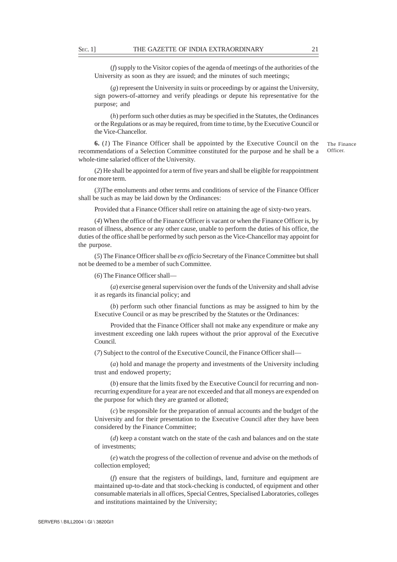(*f*) supply to the Visitor copies of the agenda of meetings of the authorities of the University as soon as they are issued; and the minutes of such meetings;

(*g*) represent the University in suits or proceedings by or against the University, sign powers-of-attorney and verify pleadings or depute his representative for the purpose; and

(*h*) perform such other duties as may be specified in the Statutes, the Ordinances or the Regulations or as may be required, from time to time, by the Executive Council or the Vice-Chancellor.

**6.** (*1*) The Finance Officer shall be appointed by the Executive Council on the recommendations of a Selection Committee constituted for the purpose and he shall be a whole-time salaried officer of the University.

(*2*) He shall be appointed for a term of five years and shall be eligible for reappointment for one more term.

(*3*)The emoluments and other terms and conditions of service of the Finance Officer shall be such as may be laid down by the Ordinances:

Provided that a Finance Officer shall retire on attaining the age of sixty-two years.

(*4*) When the office of the Finance Officer is vacant or when the Finance Officer is, by reason of illness, absence or any other cause, unable to perform the duties of his office, the duties of the office shall be performed by such person as the Vice-Chancellor may appoint for the purpose.

(*5*) The Finance Officer shall be *ex officio* Secretary of the Finance Committee but shall not be deemed to be a member of such Committee.

(*6*) The Finance Officer shall—

(*a*) exercise general supervision over the funds of the University and shall advise it as regards its financial policy; and

(*b*) perform such other financial functions as may be assigned to him by the Executive Council or as may be prescribed by the Statutes or the Ordinances:

Provided that the Finance Officer shall not make any expenditure or make any investment exceeding one lakh rupees without the prior approval of the Executive Council.

(*7*) Subject to the control of the Executive Council, the Finance Officer shall—

(*a*) hold and manage the property and investments of the University including trust and endowed property;

(*b*) ensure that the limits fixed by the Executive Council for recurring and nonrecurring expenditure for a year are not exceeded and that all moneys are expended on the purpose for which they are granted or allotted;

(*c*) be responsible for the preparation of annual accounts and the budget of the University and for their presentation to the Executive Council after they have been considered by the Finance Committee;

(*d*) keep a constant watch on the state of the cash and balances and on the state of investments;

(*e*) watch the progress of the collection of revenue and advise on the methods of collection employed;

(*f*) ensure that the registers of buildings, land, furniture and equipment are maintained up-to-date and that stock-checking is conducted, of equipment and other consumable materials in all offices, Special Centres, Specialised Laboratories, colleges and institutions maintained by the University;

The Finance Officer.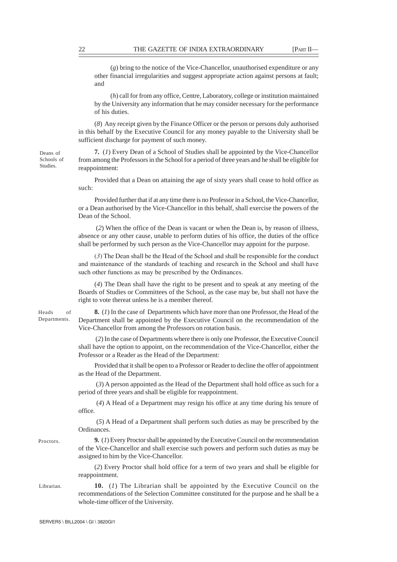(*g*) bring to the notice of the Vice-Chancellor, unauthorised expenditure or any other financial irregularities and suggest appropriate action against persons at fault; and

(*h*) call for from any office, Centre, Laboratory, college or institution maintained by the University any information that he may consider necessary for the performance of his duties.

(*8*) Any receipt given by the Finance Officer or the person or persons duly authorised in this behalf by the Executive Council for any money payable to the University shall be sufficient discharge for payment of such money.

**7.** (*1*) Every Dean of a School of Studies shall be appointed by the Vice-Chancellor from among the Professors in the School for a period of three years and he shall be eligible for reappointment:

Provided that a Dean on attaining the age of sixty years shall cease to hold office as such:

Provided further that if at any time there is no Professor in a School, the Vice-Chancellor, or a Dean authorised by the Vice-Chancellor in this behalf, shall exercise the powers of the Dean of the School.

 (*2*) When the office of the Dean is vacant or when the Dean is, by reason of illness, absence or any other cause, unable to perform duties of his office, the duties of the office shall be performed by such person as the Vice-Chancellor may appoint for the purpose.

(*3*) The Dean shall be the Head of the School and shall be responsible for the conduct and maintenance of the standards of teaching and research in the School and shall have such other functions as may be prescribed by the Ordinances.

(*4*) The Dean shall have the right to be present and to speak at any meeting of the Boards of Studies or Committees of the School, as the case may be, but shall not have the right to vote thereat unless he is a member thereof.

Heads of Departments.

Deans of Schools of Studies.

Proctors.

Librarian.

**8.** (*1*) In the case of Departments which have more than one Professor, the Head of the Department shall be appointed by the Executive Council on the recommendation of the Vice-Chancellor from among the Professors on rotation basis.

 (*2*) In the case of Departments where there is only one Professor, the Executive Council shall have the option to appoint, on the recommendation of the Vice-Chancellor, either the Professor or a Reader as the Head of the Department:

Provided that it shall be open to a Professor or Reader to decline the offer of appointment as the Head of the Department.

 (*3*) A person appointed as the Head of the Department shall hold office as such for a period of three years and shall be eligible for reappointment.

 (*4*) A Head of a Department may resign his office at any time during his tenure of office.

 (*5*) A Head of a Department shall perform such duties as may be prescribed by the Ordinances.

**9.** (*1*) Every Proctor shall be appointed by the Executive Council on the recommendation of the Vice-Chancellor and shall exercise such powers and perform such duties as may be assigned to him by the Vice-Chancellor.

(*2*) Every Proctor shall hold office for a term of two years and shall be eligible for reappointment.

**10.** (*1*) The Librarian shall be appointed by the Executive Council on the recommendations of the Selection Committee constituted for the purpose and he shall be a whole-time officer of the University.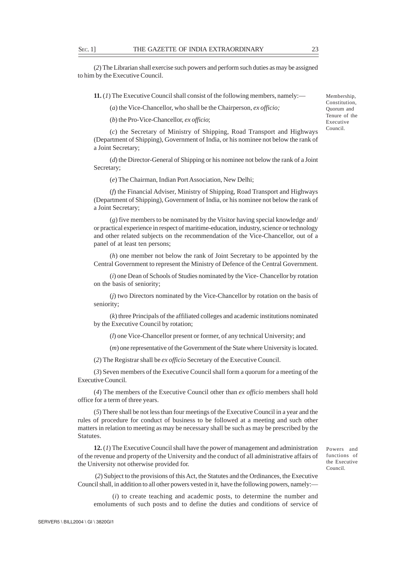(*2*) The Librarian shall exercise such powers and perform such duties as may be assigned to him by the Executive Council.

**11.** (*1*) The Executive Council shall consist of the following members, namely:—

(*a*) the Vice-Chancellor, who shall be the Chairperson, *ex officio;*

(*b*) the Pro-Vice-Chancellor, *ex officio*;

(*c*) the Secretary of Ministry of Shipping, Road Transport and Highways (Department of Shipping), Government of India, or his nominee not below the rank of a Joint Secretary;

(*d*) the Director-General of Shipping or his nominee not below the rank of a Joint Secretary;

(*e*) The Chairman, Indian Port Association, New Delhi;

(*f*) the Financial Adviser, Ministry of Shipping, Road Transport and Highways (Department of Shipping), Government of India, or his nominee not below the rank of a Joint Secretary;

(*g*) five members to be nominated by the Visitor having special knowledge and/ or practical experience in respect of maritime-education, industry, science or technology and other related subjects on the recommendation of the Vice-Chancellor, out of a panel of at least ten persons;

(*h*) one member not below the rank of Joint Secretary to be appointed by the Central Government to represent the Ministry of Defence of the Central Government.

(*i*) one Dean of Schools of Studies nominated by the Vice- Chancellor by rotation on the basis of seniority;

(*j*) two Directors nominated by the Vice-Chancellor by rotation on the basis of seniority;

(*k*) three Principals of the affiliated colleges and academic institutions nominated by the Executive Council by rotation;

(*l*) one Vice-Chancellor present or former, of any technical University; and

(*m*) one representative of the Government of the State where University is located.

(*2*) The Registrar shall be *ex officio* Secretary of the Executive Council.

(*3*) Seven members of the Executive Council shall form a quorum for a meeting of the Executive Council.

(*4*) The members of the Executive Council other than *ex officio* members shall hold office for a term of three years.

(*5*) There shall be not less than four meetings of the Executive Council in a year and the rules of procedure for conduct of business to be followed at a meeting and such other matters in relation to meeting as may be necessary shall be such as may be prescribed by the Statutes.

**12.** (*1*) The Executive Council shall have the power of management and administration of the revenue and property of the University and the conduct of all administrative affairs of the University not otherwise provided for.

Powers and functions of the Executive Council.

 (*2*) Subject to the provisions of this Act, the Statutes and the Ordinances, the Executive Council shall, in addition to all other powers vested in it, have the following powers, namely:—

 (*i*) to create teaching and academic posts, to determine the number and emoluments of such posts and to define the duties and conditions of service of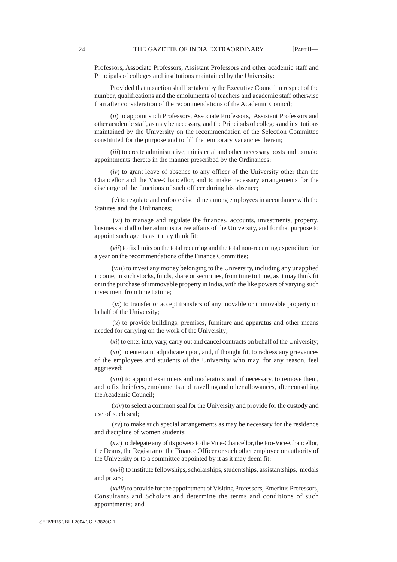Professors, Associate Professors, Assistant Professors and other academic staff and Principals of colleges and institutions maintained by the University:

Provided that no action shall be taken by the Executive Council in respect of the number, qualifications and the emoluments of teachers and academic staff otherwise than after consideration of the recommendations of the Academic Council;

(*ii*) to appoint such Professors, Associate Professors, Assistant Professors and other academic staff, as may be necessary, and the Principals of colleges and institutions maintained by the University on the recommendation of the Selection Committee constituted for the purpose and to fill the temporary vacancies therein;

(*iii*) to create administrative, ministerial and other necessary posts and to make appointments thereto in the manner prescribed by the Ordinances;

(*iv*) to grant leave of absence to any officer of the University other than the Chancellor and the Vice-Chancellor, and to make necessary arrangements for the discharge of the functions of such officer during his absence;

 (*v*) to regulate and enforce discipline among employees in accordance with the Statutes and the Ordinances;

 (*vi*) to manage and regulate the finances, accounts, investments, property, business and all other administrative affairs of the University, and for that purpose to appoint such agents as it may think fit;

(*vii*) to fix limits on the total recurring and the total non-recurring expenditure for a year on the recommendations of the Finance Committee;

 (*viii*) to invest any money belonging to the University, including any unapplied income, in such stocks, funds, share or securities, from time to time, as it may think fit or in the purchase of immovable property in India, with the like powers of varying such investment from time to time;

 (*ix*) to transfer or accept transfers of any movable or immovable property on behalf of the University;

 (*x*) to provide buildings, premises, furniture and apparatus and other means needed for carrying on the work of the University;

(*xi*) to enter into, vary, carry out and cancel contracts on behalf of the University;

(*xii*) to entertain, adjudicate upon, and, if thought fit, to redress any grievances of the employees and students of the University who may, for any reason, feel aggrieved;

(*xiii*) to appoint examiners and moderators and, if necessary, to remove them, and to fix their fees, emoluments and travelling and other allowances, after consulting the Academic Council;

 (*xiv*) to select a common seal for the University and provide for the custody and use of such seal;

 (*xv*) to make such special arrangements as may be necessary for the residence and discipline of women students;

(*xvi*) to delegate any of its powers to the Vice-Chancellor, the Pro-Vice-Chancellor, the Deans, the Registrar or the Finance Officer or such other employee or authority of the University or to a committee appointed by it as it may deem fit;

(*xvii*) to institute fellowships, scholarships, studentships, assistantships, medals and prizes;

(*xviii*) to provide for the appointment of Visiting Professors, Emeritus Professors, Consultants and Scholars and determine the terms and conditions of such appointments; and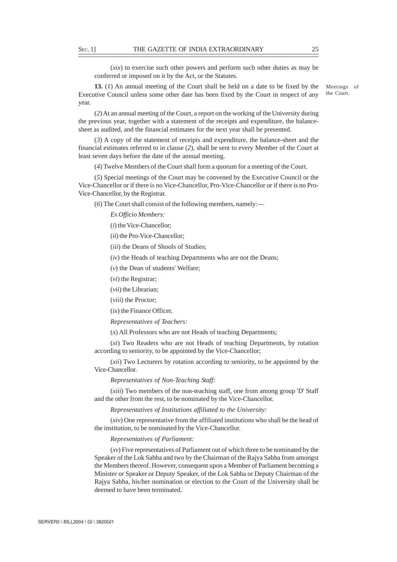(*xix*) to exercise such other powers and perform such other duties as may be conferred or imposed on it by the Act, or the Statutes.

**13.** (*1*) An annual meeting of the Court shall be held on a date to be fixed by the Executive Council unless some other date has been fixed by the Court in respect of any year.

Meetings of the Court.

(*2*) At an annual meeting of the Court, a report on the working of the University during the previous year, together with a statement of the receipts and expenditure, the balancesheet as audited, and the financial estimates for the next year shall be presented.

(*3*) A copy of the statement of receipts and expenditure, the balance-sheet and the financial estimates referred to in clause (*2*), shall be sent to every Member of the Court at least seven days before the date of the annual meeting.

(*4*) Twelve Members of the Court shall form a quorum for a meeting of the Court.

(*5*) Special meetings of the Court may be convened by the Executive Council or the Vice-Chancellor or if there is no Vice-Chancellor, Pro-Vice-Chancellor or if there is no Pro-Vice-Chancellor, by the Registrar.

(*6*) The Court shall consist of the following members, namely:—

*Ex Officio Members:*

(*i*) the Vice-Chancellor;

(*ii*) the Pro-Vice-Chancellor;

(*iii*) the Deans of Shools of Studies;

(*iv*) the Heads of teaching Departments who are not the Deans;

(*v*) the Dean of students' Welfare;

(*vi*) the Registrar;

(*vii*) the Librarian;

(*viii*) the Proctor;

(*ix*) the Finance Officer.

*Representatives of Teachers:*

(*x*) All Professors who are not Heads of teaching Departments;

(*xi*) Two Readers who are not Heads of teaching Departments, by rotation according to seniority, to be appointed by the Vice-Chancellor;

(*xii*) Two Lecturers by rotation according to seniority, to be appointed by the Vice-Chancellor.

*Representatives of Non-Teaching Staff:*

(*xiii*) Two members of the non-teaching staff, one from among group 'D' Staff and the other from the rest, to be nominated by the Vice-Chancellor.

*Representatives of Institutions affiliated to the University:*

(*xiv*) One representative from the affiliated institutions who shall be the head of the institution, to be nominated by the Vice-Chancellor.

*Representatives of Parliament:*

(*xv*) Five representatives of Parliament out of which three to be nominated by the Speaker of the Lok Sabha and two by the Chairman of the Rajya Sabha from amongst the Members thereof. However, consequent upon a Member of Parliament becoming a Minister or Speaker or Deputy Speaker, of the Lok Sabha or Deputy Chairman of the Rajya Sabha, his/her nomination or election to the Court of the University shall be deemed to have been terminated.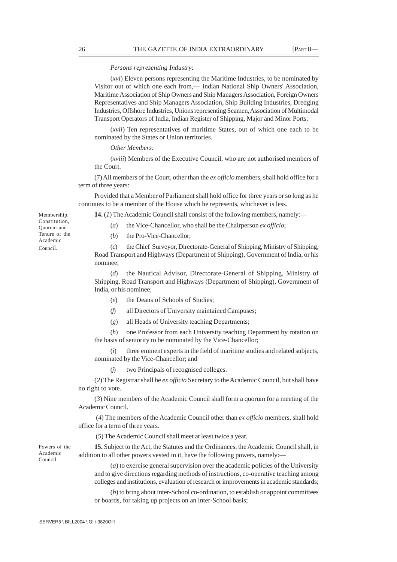## *Persons representing Industry*:

(*xvi*) Eleven persons representing the Maritime Industries, to be nominated by Visitor out of which one each from,— Indian National Ship Owners' Association, Maritime Association of Ship Owners and Ship Managers Association, Foreign Owners Representatives and Ship Managers Association, Ship Building Industries, Dredging Industries, Offshore Industries, Unions representing Seamen, Association of Multimodal Transport Operators of India, Indian Register of Shipping, Major and Minor Ports;

(*xvii*) Ten representatives of maritime States, out of which one each to be nominated by the States or Union territories.

## *Other Members:*

(*xviii*) Members of the Executive Council, who are not authorised members of the Court.

(7) All members of the Court, other than the *ex officio* members, shall hold office for a term of three years:

Provided that a Member of Parliament shall hold office for three years or so long as he continues to be a member of the House which he represents, whichever is less.

**14.** (*1*) The Academic Council shall consist of the following members, namely:—

- (*a*) the Vice-Chancellor, who shall be the Chairperson *ex officio*;
- (*b*) the Pro-Vice-Chancellor;

(*c*) the Chief Surveyor, Directorate-General of Shipping, Ministry of Shipping, Road Transport and Highways (Department of Shipping), Government of India, or his nominee;

(*d*) the Nautical Advisor, Directorate-General of Shipping, Ministry of Shipping, Road Transport and Highways (Department of Shipping), Government of India, or his nominee;

- (*e*) the Deans of Schools of Studies;
- (*f*) all Directors of University maintained Campuses;
- (*g*) all Heads of University teaching Departments;

(*h*) one Professor from each University teaching Department by rotation on the basis of seniority to be nominated by the Vice-Chancellor;

(*i*) three eminent experts in the field of maritime studies and related subjects, nominated by the Vice-Chancellor; and

(*j*) two Principals of recognised colleges.

(*2*) The Registrar shall be *ex officio* Secretary to the Academic Council, but shall have no right to vote.

(*3*) Nine members of the Academic Council shall form a quorum for a meeting of the Academic Council.

 (*4*) The members of the Academic Council other than *ex officio* members, shall hold office for a term of three years.

(*5*) The Academic Council shall meet at least twice a year.

**15.** Subject to the Act, the Statutes and the Ordinances, the Academic Council shall, in addition to all other powers vested in it, have the following powers, namely:—

(*a*) to exercise general supervision over the academic policies of the University and to give directions regarding methods of instructions, co-operative teaching among colleges and institutions, evaluation of research or improvements in academic standards;

(*b*) to bring about inter-School co-ordination, to establish or appoint committees or boards, for taking up projects on an inter-School basis;

Membership, Constitution, Quorum and Tenure of the Academic Council.

Powers of the Academic Council.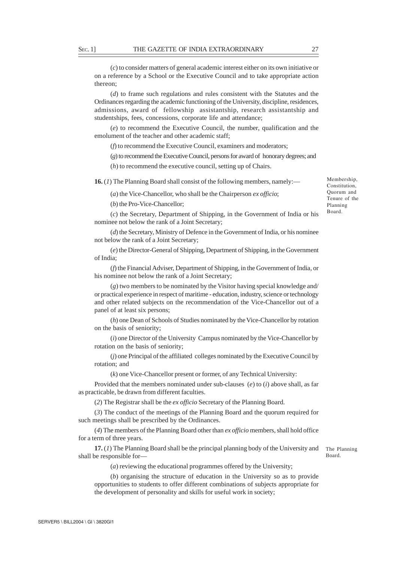(*c*) to consider matters of general academic interest either on its own initiative or on a reference by a School or the Executive Council and to take appropriate action thereon;

(*d*) to frame such regulations and rules consistent with the Statutes and the Ordinances regarding the academic functioning of the University, discipline, residences, admissions, award of fellowship assistantship, research assistantship and studentships, fees, concessions, corporate life and attendance;

(*e*) to recommend the Executive Council, the number, qualification and the emolument of the teacher and other academic staff;

(*f*) to recommend the Executive Council, examiners and moderators;

(*g*) to recommend the Executive Council, persons for award of honorary degrees; and

(*h*) to recommend the executive council, setting up of Chairs.

**16.** (*1*) The Planning Board shall consist of the following members, namely:—

(*a*) the Vice-Chancellor, who shall be the Chairperson *ex officio*;

(*b*) the Pro-Vice-Chancellor;

(*c*) the Secretary, Department of Shipping, in the Government of India or his nominee not below the rank of a Joint Secretary;

(*d*) the Secretary, Ministry of Defence in the Government of India, or his nominee not below the rank of a Joint Secretary;

(*e*) the Director-General of Shipping, Department of Shipping, in the Government of India;

(*f*) the Financial Adviser, Department of Shipping, in the Government of India, or his nominee not below the rank of a Joint Secretary;

(*g*) two members to be nominated by the Visitor having special knowledge and/ or practical experience in respect of maritime - education, industry, science or technology and other related subjects on the recommendation of the Vice-Chancellor out of a panel of at least six persons;

(*h*) one Dean of Schools of Studies nominated by the Vice-Chancellor by rotation on the basis of seniority;

(*i*) one Director of the University Campus nominated by the Vice-Chancellor by rotation on the basis of seniority;

(*j*) one Principal of the affiliated colleges nominated by the Executive Council by rotation; and

(*k*) one Vice-Chancellor present or former, of any Technical University:

Provided that the members nominated under sub-clauses (*e*) to (*i*) above shall, as far as practicable, be drawn from different faculties.

(*2*) The Registrar shall be the *ex officio* Secretary of the Planning Board.

(*3*) The conduct of the meetings of the Planning Board and the quorum required for such meetings shall be prescribed by the Ordinances.

(*4*) The members of the Planning Board other than *ex officio* members, shall hold office for a term of three years.

**17.** (*1*) The Planning Board shall be the principal planning body of the University and shall be responsible for—

The Planning Board.

(*a*) reviewing the educational programmes offered by the University;

(*b*) organising the structure of education in the University so as to provide opportunities to students to offer different combinations of subjects appropriate for the development of personality and skills for useful work in society;

Membership, Constitution, Quorum and Tenure of the Planning Board.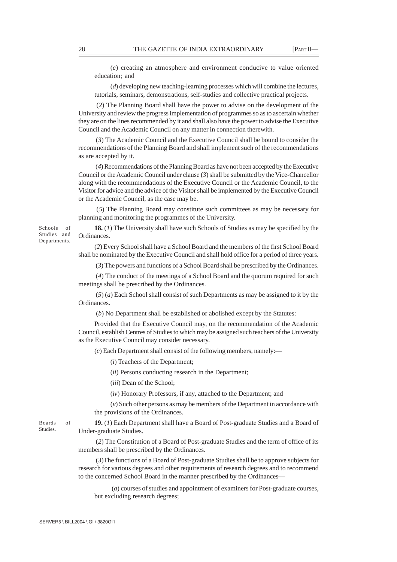(*c*) creating an atmosphere and environment conducive to value oriented education; and

(*d*) developing new teaching-learning processes which will combine the lectures, tutorials, seminars, demonstrations, self-studies and collective practical projects.

 (*2*) The Planning Board shall have the power to advise on the development of the University and review the progress implementation of programmes so as to ascertain whether they are on the lines recommended by it and shall also have the power to advise the Executive Council and the Academic Council on any matter in connection therewith.

 (*3*) The Academic Council and the Executive Council shall be bound to consider the recommendations of the Planning Board and shall implement such of the recommendations as are accepted by it.

 (*4*) Recommendations of the Planning Board as have not been accepted by the Executive Council or the Academic Council under clause (*3*) shall be submitted by the Vice-Chancellor along with the recommendations of the Executive Council or the Academic Council, to the Visitor for advice and the advice of the Visitor shall be implemented by the Executive Council or the Academic Council, as the case may be.

 (*5*) The Planning Board may constitute such committees as may be necessary for planning and monitoring the programmes of the University.

**18.** (*1*) The University shall have such Schools of Studies as may be specified by the Ordinances.

(*2*) Every School shall have a School Board and the members of the first School Board shall be nominated by the Executive Council and shall hold office for a period of three years.

(*3*) The powers and functions of a School Board shall be prescribed by the Ordinances.

 (*4*) The conduct of the meetings of a School Board and the quorum required for such meetings shall be prescribed by the Ordinances.

 (*5*) (*a*) Each School shall consist of such Departments as may be assigned to it by the Ordinances.

(*b*) No Department shall be established or abolished except by the Statutes:

Provided that the Executive Council may, on the recommendation of the Academic Council, establish Centres of Studies to which may be assigned such teachers of the University as the Executive Council may consider necessary.

(*c*) Each Department shall consist of the following members, namely:—

(*i*) Teachers of the Department;

(*ii*) Persons conducting research in the Department;

(*iii*) Dean of the School;

(*iv*) Honorary Professors, if any, attached to the Department; and

(*v*) Such other persons as may be members of the Department in accordance with the provisions of the Ordinances.

Boards of Studies.

Schools of Studies and Departments.

> **19.** (*1*) Each Department shall have a Board of Post-graduate Studies and a Board of Under-graduate Studies.

> (*2*) The Constitution of a Board of Post-graduate Studies and the term of office of its members shall be prescribed by the Ordinances.

> (*3*)The functions of a Board of Post-graduate Studies shall be to approve subjects for research for various degrees and other requirements of research degrees and to recommend to the concerned School Board in the manner prescribed by the Ordinances—

 (*a*) courses of studies and appointment of examiners for Post-graduate courses, but excluding research degrees;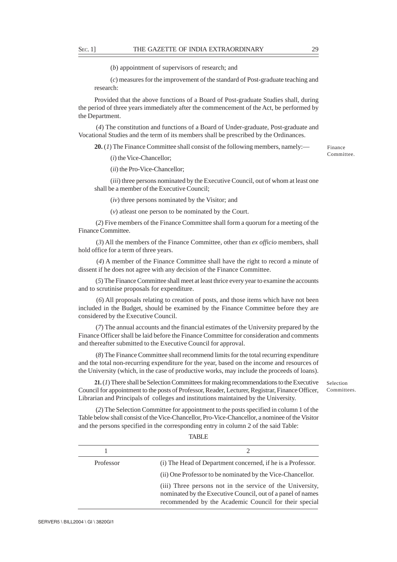(*b*) appointment of supervisors of research; and

(*c*) measures for the improvement of the standard of Post-graduate teaching and research:

Provided that the above functions of a Board of Post-graduate Studies shall, during the period of three years immediately after the commencement of the Act, be performed by the Department.

 (*4*) The constitution and functions of a Board of Under-graduate, Post-graduate and Vocational Studies and the term of its members shall be prescribed by the Ordinances.

**20.** (*1*) The Finance Committee shall consist of the following members, namely:—

(*i*) the Vice-Chancellor;

(*ii*) the Pro-Vice-Chancellor;

(*iii*) three persons nominated by the Executive Council, out of whom at least one shall be a member of the Executive Council;

(*iv*) three persons nominated by the Visitor; and

(*v*) atleast one person to be nominated by the Court.

 (*2*) Five members of the Finance Committee shall form a quorum for a meeting of the Finance Committee.

 (*3*) All the members of the Finance Committee, other than *ex officio* members, shall hold office for a term of three years.

 (*4*) A member of the Finance Committee shall have the right to record a minute of dissent if he does not agree with any decision of the Finance Committee.

 (*5*) The Finance Committee shall meet at least thrice every year to examine the accounts and to scrutinise proposals for expenditure.

 (*6*) All proposals relating to creation of posts, and those items which have not been included in the Budget, should be examined by the Finance Committee before they are considered by the Executive Council.

 (*7*) The annual accounts and the financial estimates of the University prepared by the Finance Officer shall be laid before the Finance Committee for consideration and comments and thereafter submitted to the Executive Council for approval.

 (*8*) The Finance Committee shall recommend limits for the total recurring expenditure and the total non-recurring expenditure for the year, based on the income and resources of the University (which, in the case of productive works, may include the proceeds of loans).

**21.** (*1*) There shall be Selection Committees for making recommendations to the Executive Council for appointment to the posts of Professor, Reader, Lecturer, Registrar, Finance Officer, Librarian and Principals of colleges and institutions maintained by the University.

 (*2*) The Selection Committee for appointment to the posts specified in column 1 of the Table below shall consist of the Vice-Chancellor, Pro-Vice-Chancellor, a nominee of the Visitor and the persons specified in the corresponding entry in column 2 of the said Table:

|--|

| Professor | (i) The Head of Department concerned, if he is a Professor.                                                                                                                       |
|-----------|-----------------------------------------------------------------------------------------------------------------------------------------------------------------------------------|
|           | (ii) One Professor to be nominated by the Vice-Chancellor.                                                                                                                        |
|           | (iii) Three persons not in the service of the University,<br>nominated by the Executive Council, out of a panel of names<br>recommended by the Academic Council for their special |

Finance Committee.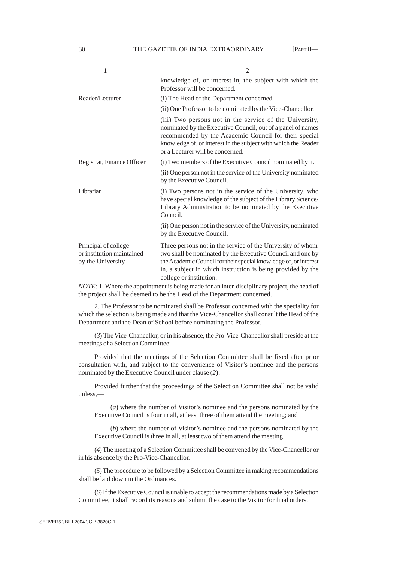| $\mathfrak{D}$                                                                                                                                                                                                                                                                                                                                                                         |
|----------------------------------------------------------------------------------------------------------------------------------------------------------------------------------------------------------------------------------------------------------------------------------------------------------------------------------------------------------------------------------------|
| knowledge of, or interest in, the subject with which the<br>Professor will be concerned.                                                                                                                                                                                                                                                                                               |
| (i) The Head of the Department concerned.                                                                                                                                                                                                                                                                                                                                              |
| (ii) One Professor to be nominated by the Vice-Chancellor.                                                                                                                                                                                                                                                                                                                             |
| (iii) Two persons not in the service of the University,<br>nominated by the Executive Council, out of a panel of names<br>recommended by the Academic Council for their special<br>knowledge of, or interest in the subject with which the Reader<br>or a Lecturer will be concerned.                                                                                                  |
| (i) Two members of the Executive Council nominated by it.                                                                                                                                                                                                                                                                                                                              |
| (ii) One person not in the service of the University nominated<br>by the Executive Council.                                                                                                                                                                                                                                                                                            |
| (i) Two persons not in the service of the University, who<br>have special knowledge of the subject of the Library Science/<br>Library Administration to be nominated by the Executive<br>Council.                                                                                                                                                                                      |
| (ii) One person not in the service of the University, nominated<br>by the Executive Council.                                                                                                                                                                                                                                                                                           |
| Three persons not in the service of the University of whom<br>two shall be nominated by the Executive Council and one by<br>the Academic Council for their special knowledge of, or interest<br>in, a subject in which instruction is being provided by the<br>college or institution.<br>$MOTF: 1$ Where the appointment is being made for an inter-disciplinary project, the head of |
|                                                                                                                                                                                                                                                                                                                                                                                        |

*F*: 1. Where the appointment is being made for an inter-disciplinary project, the head of the project shall be deemed to be the Head of the Department concerned.

2. The Professor to be nominated shall be Professor concerned with the speciality for which the selection is being made and that the Vice-Chancellor shall consult the Head of the Department and the Dean of School before nominating the Professor.

(*3*) The Vice-Chancellor, or in his absence, the Pro-Vice-Chancellor shall preside at the meetings of a Selection Committee:

Provided that the meetings of the Selection Committee shall be fixed after prior consultation with, and subject to the convenience of Visitor's nominee and the persons nominated by the Executive Council under clause (*2*):

Provided further that the proceedings of the Selection Committee shall not be valid unless,—

(*a*) where the number of Visitor's nominee and the persons nominated by the Executive Council is four in all, at least three of them attend the meeting; and

(*b*) where the number of Visitor's nominee and the persons nominated by the Executive Council is three in all, at least two of them attend the meeting.

(*4*) The meeting of a Selection Committee shall be convened by the Vice-Chancellor or in his absence by the Pro-Vice-Chancellor.

(*5*) The procedure to be followed by a Selection Committee in making recommendations shall be laid down in the Ordinances.

(*6*) If the Executive Council is unable to accept the recommendations made by a Selection Committee, it shall record its reasons and submit the case to the Visitor for final orders.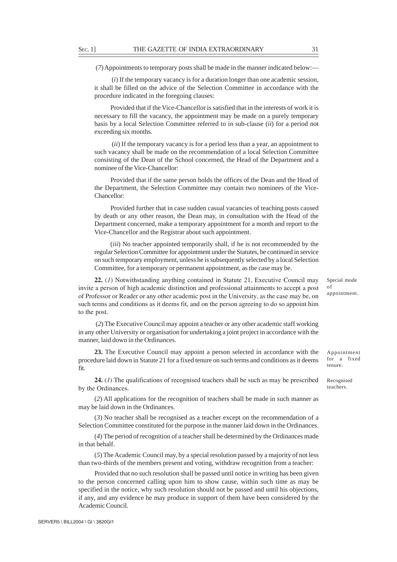(*7*) Appointments to temporary posts shall be made in the manner indicated below:—

 (*i*) If the temporary vacancy is for a duration longer than one academic session, it shall be filled on the advice of the Selection Committee in accordance with the procedure indicated in the foregoing clauses:

Provided that if the Vice-Chancellor is satisfied that in the interests of work it is necessary to fill the vacancy, the appointment may be made on a purely temporary basis by a local Selection Committee referred to in sub-clause (*ii*) for a period not exceeding six months.

 (*ii*) If the temporary vacancy is for a period less than a year, an appointment to such vacancy shall be made on the recommendation of a local Selection Committee consisting of the Dean of the School concerned, the Head of the Department and a nominee of the Vice-Chancellor:

Provided that if the same person holds the offices of the Dean and the Head of the Department, the Selection Committee may contain two nominees of the Vice-Chancellor:

Provided further that in case sudden casual vacancies of teaching posts caused by death or any other reason, the Dean may, in consultation with the Head of the Department concerned, make a temporary appointment for a month and report to the Vice-Chancellor and the Registrar about such appointment.

(*iii*) No teacher appointed temporarily shall, if he is not recommended by the regular Selection Committee for appointment under the Statutes, be continued in service on such temporary employment, unless he is subsequently selected by a local Selection Committee, for a temporary or permanent appointment, as the case may be.

**22.** (*1*) Notwithstanding anything contained in Statute 21, Executive Council may invite a person of high academic distinction and professional attainments to accept a post of Professor or Reader or any other academic post in the University, as the case may be, on such terms and conditions as it deems fit, and on the person agreeing to do so appoint him to the post.

 (*2*) The Executive Council may appoint a teacher or any other academic staff working in any other University or organisation for undertaking a joint project in accordance with the manner, laid down in the Ordinances.

**23.** The Executive Council may appoint a person selected in accordance with the procedure laid down in Statute 21 for a fixed tenure on such terms and conditions as it deems fit.

**24.** (*1*) The qualifications of recognised teachers shall be such as may be prescribed by the Ordinances.

(*2*) All applications for the recognition of teachers shall be made in such manner as may be laid down in the Ordinances.

(*3*) No teacher shall be recognised as a teacher except on the recommendation of a Selection Committee constituted for the purpose in the manner laid down in the Ordinances.

(*4*) The period of recognition of a teacher shall be determined by the Ordinances made in that behalf.

(*5*) The Academic Council may, by a special resolution passed by a majority of not less than two-thirds of the members present and voting, withdraw recognition from a teacher:

Provided that no such resolution shall be passed until notice in writing has been given to the person concerned calling upon him to show cause, within such time as may be specified in the notice, why such resolution should not be passed and until his objections, if any, and any evidence he may produce in support of them have been considered by the Academic Council.

Special mode of appointment.

Appointment for a fixed tenure.

Recognised teachers.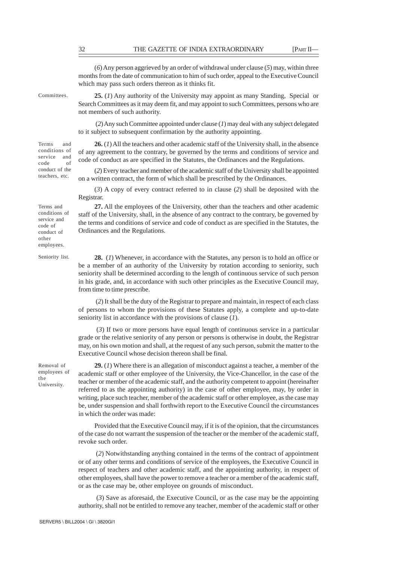(*6*) Any person aggrieved by an order of withdrawal under clause (*5*) may, within three months from the date of communication to him of such order, appeal to the Executive Council which may pass such orders thereon as it thinks fit.

Committees.

Terms and conditions of service and code of conduct of the teachers, etc.

**25.** (*1*) Any authority of the University may appoint as many Standing, Special or Search Committees as it may deem fit, and may appoint to such Committees, persons who are not members of such authority.

 (*2*) Any such Committee appointed under clause (*1*) may deal with any subject delegated to it subject to subsequent confirmation by the authority appointing.

**26.** (*1*) All the teachers and other academic staff of the University shall, in the absence of any agreement to the contrary, be governed by the terms and conditions of service and code of conduct as are specified in the Statutes, the Ordinances and the Regulations.

(*2*) Every teacher and member of the academic staff of the University shall be appointed on a written contract, the form of which shall be prescribed by the Ordinances.

(*3*) A copy of every contract referred to in clause (*2*) shall be deposited with the Registrar.

**27.** All the employees of the University, other than the teachers and other academic staff of the University, shall, in the absence of any contract to the contrary, be governed by the terms and conditions of service and code of conduct as are specified in the Statutes, the Ordinances and the Regulations.

**28.** (*1*) Whenever, in accordance with the Statutes, any person is to hold an office or be a member of an authority of the University by rotation according to seniority, such seniority shall be determined according to the length of continuous service of such person in his grade, and, in accordance with such other principles as the Executive Council may, from time to time prescribe.

 (*2*) It shall be the duty of the Registrar to prepare and maintain, in respect of each class of persons to whom the provisions of these Statutes apply, a complete and up-to-date seniority list in accordance with the provisions of clause (*1*).

 (*3*) If two or more persons have equal length of continuous service in a particular grade or the relative seniority of any person or persons is otherwise in doubt, the Registrar may, on his own motion and shall, at the request of any such person, submit the matter to the Executive Council whose decision thereon shall be final.

**29.** (*1*) Where there is an allegation of misconduct against a teacher, a member of the academic staff or other employee of the University, the Vice-Chancellor, in the case of the teacher or member of the academic staff, and the authority competent to appoint (hereinafter referred to as the appointing authority) in the case of other employee, may, by order in writing, place such teacher, member of the academic staff or other employee, as the case may be, under suspension and shall forthwith report to the Executive Council the circumstances in which the order was made:

Provided that the Executive Council may, if it is of the opinion, that the circumstances of the case do not warrant the suspension of the teacher or the member of the academic staff, revoke such order.

 (*2*) Notwithstanding anything contained in the terms of the contract of appointment or of any other terms and conditions of service of the employees, the Executive Council in respect of teachers and other academic staff, and the appointing authority, in respect of other employees, shall have the power to remove a teacher or a member of the academic staff, or as the case may be, other employee on grounds of misconduct.

 (*3*) Save as aforesaid, the Executive Council, or as the case may be the appointing authority, shall not be entitled to remove any teacher, member of the academic staff or other

Terms and conditions of service and code of conduct of other employees.

Seniority list.

Removal of employees of the University.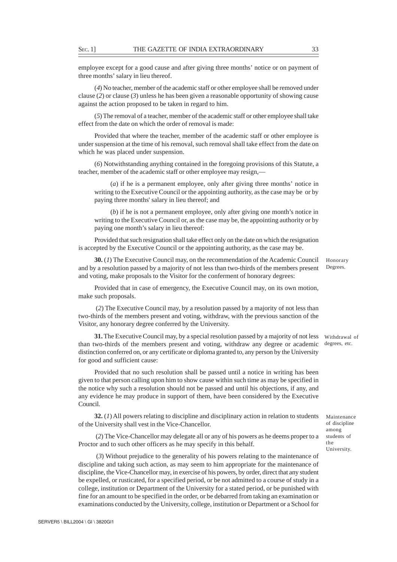employee except for a good cause and after giving three months' notice or on payment of three months' salary in lieu thereof.

(*4*) No teacher, member of the academic staff or other employee shall be removed under clause (*2*) or clause (*3*) unless he has been given a reasonable opportunity of showing cause against the action proposed to be taken in regard to him.

(*5*) The removal of a teacher, member of the academic staff or other employee shall take effect from the date on which the order of removal is made:

Provided that where the teacher, member of the academic staff or other employee is under suspension at the time of his removal, such removal shall take effect from the date on which he was placed under suspension.

(*6*) Notwithstanding anything contained in the foregoing provisions of this Statute, a teacher, member of the academic staff or other employee may resign,—

(*a*) if he is a permanent employee, only after giving three months' notice in writing to the Executive Council or the appointing authority, as the case may be or by paying three months' salary in lieu thereof; and

(*b*) if he is not a permanent employee, only after giving one month's notice in writing to the Executive Council or, as the case may be, the appointing authority or by paying one month's salary in lieu thereof:

Provided that such resignation shall take effect only on the date on which the resignation is accepted by the Executive Council or the appointing authority, as the case may be.

**30.** (*1*) The Executive Council may, on the recommendation of the Academic Council and by a resolution passed by a majority of not less than two-thirds of the members present and voting, make proposals to the Visitor for the conferment of honorary degrees:

Provided that in case of emergency, the Executive Council may, on its own motion, make such proposals.

 (*2*) The Executive Council may, by a resolution passed by a majority of not less than two-thirds of the members present and voting, withdraw, with the previous sanction of the Visitor, any honorary degree conferred by the University.

**31.** The Executive Council may, by a special resolution passed by a majority of not less withdrawal of than two-thirds of the members present and voting, withdraw any degree or academic distinction conferred on, or any certificate or diploma granted to, any person by the University for good and sufficient cause:

Provided that no such resolution shall be passed until a notice in writing has been given to that person calling upon him to show cause within such time as may be specified in the notice why such a resolution should not be passed and until his objections, if any, and any evidence he may produce in support of them, have been considered by the Executive Council.

**32.** (*1*) All powers relating to discipline and disciplinary action in relation to students of the University shall vest in the Vice-Chancellor.

 (*2*) The Vice-Chancellor may delegate all or any of his powers as he deems proper to a Proctor and to such other officers as he may specify in this behalf.

 (*3*) Without prejudice to the generality of his powers relating to the maintenance of discipline and taking such action, as may seem to him appropriate for the maintenance of discipline, the Vice-Chancellor may, in exercise of his powers, by order, direct that any student be expelled, or rusticated, for a specified period, or be not admitted to a course of study in a college, institution or Department of the University for a stated period, or be punished with fine for an amount to be specified in the order, or be debarred from taking an examination or examinations conducted by the University, college, institution or Department or a School for

degrees, etc.

Honorary Degrees.

Maintenance of discipline among students of the University.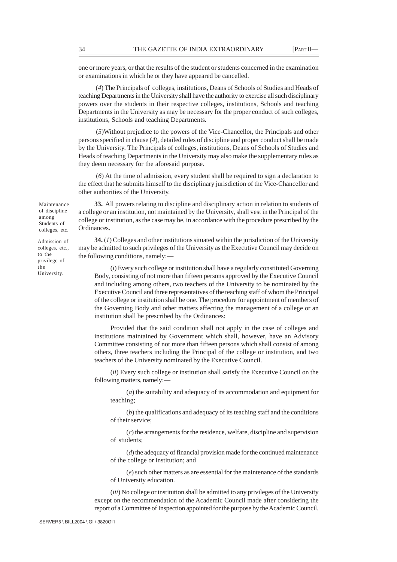one or more years, or that the results of the student or students concerned in the examination or examinations in which he or they have appeared be cancelled.

 (*4*) The Principals of colleges, institutions, Deans of Schools of Studies and Heads of teaching Departments in the University shall have the authority to exercise all such disciplinary powers over the students in their respective colleges, institutions, Schools and teaching Departments in the University as may be necessary for the proper conduct of such colleges, institutions, Schools and teaching Departments.

 (*5*)Without prejudice to the powers of the Vice-Chancellor, the Principals and other persons specified in clause (*4*), detailed rules of discipline and proper conduct shall be made by the University. The Principals of colleges, institutions, Deans of Schools of Studies and Heads of teaching Departments in the University may also make the supplementary rules as they deem necessary for the aforesaid purpose.

 (*6*) At the time of admission, every student shall be required to sign a declaration to the effect that he submits himself to the disciplinary jurisdiction of the Vice-Chancellor and other authorities of the University.

**33.** All powers relating to discipline and disciplinary action in relation to students of a college or an institution, not maintained by the University, shall vest in the Principal of the college or institution, as the case may be, in accordance with the procedure prescribed by the Ordinances.

**34.** (*1*) Colleges and other institutions situated within the jurisdiction of the University may be admitted to such privileges of the University as the Executive Council may decide on the following conditions, namely:—

(*i*) Every such college or institution shall have a regularly constituted Governing Body, consisting of not more than fifteen persons approved by the Executive Council and including among others, two teachers of the University to be nominated by the Executive Council and three representatives of the teaching staff of whom the Principal of the college or institution shall be one. The procedure for appointment of members of the Governing Body and other matters affecting the management of a college or an institution shall be prescribed by the Ordinances:

Provided that the said condition shall not apply in the case of colleges and institutions maintained by Government which shall, however, have an Advisory Committee consisting of not more than fifteen persons which shall consist of among others, three teachers including the Principal of the college or institution, and two teachers of the University nominated by the Executive Council.

(*ii*) Every such college or institution shall satisfy the Executive Council on the following matters, namely:—

(*a*) the suitability and adequacy of its accommodation and equipment for teaching;

(*b*) the qualifications and adequacy of its teaching staff and the conditions of their service;

(*c*) the arrangements for the residence, welfare, discipline and supervision of students;

(*d*) the adequacy of financial provision made for the continued maintenance of the college or institution; and

(*e*) such other matters as are essential for the maintenance of the standards of University education.

(*iii*) No college or institution shall be admitted to any privileges of the University except on the recommendation of the Academic Council made after considering the report of a Committee of Inspection appointed for the purpose by the Academic Council.

SERVER5 \ BILL2004 \ GI \ 3820GI1

of discipline among Students of colleges, etc.

Maintenance

Admission of colleges, etc., to the privilege of the University.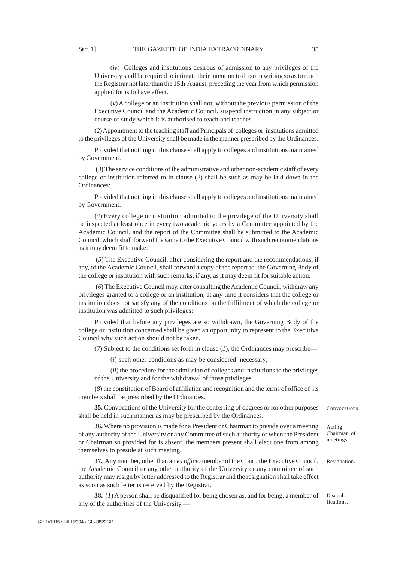(*iv*) Colleges and institutions desirous of admission to any privileges of the University shall be required to intimate their intention to do so in writing so as to reach the Registrar not later than the 15th August, preceding the year from which permission applied for is to have effect.

(*v*) A college or an institution shall not, without the previous permission of the Executive Council and the Academic Council, suspend instruction in any subject or course of study which it is authorised to teach and teaches.

(*2*) Appointment to the teaching staff and Principals of colleges or institutions admitted to the privileges of the University shall be made in the manner prescribed by the Ordinances:

Provided that nothing in this clause shall apply to colleges and institutions maintained by Government.

 (*3*) The service conditions of the administrative and other non-academic staff of every college or institution referred to in clause (*2*) shall be such as may be laid down in the Ordinances:

Provided that nothing in this clause shall apply to colleges and institutions maintained by Government.

(*4*) Every college or institution admitted to the privilege of the University shall be inspected at least once in every two academic years by a Committee appointed by the Academic Council, and the report of the Committee shall be submitted to the Academic Council, which shall forward the same to the Executive Council with such recommendations as it may deem fit to make.

 (*5*) The Executive Council, after considering the report and the recommendations, if any, of the Academic Council, shall forward a copy of the report to the Governing Body of the college or institution with such remarks, if any, as it may deem fit for suitable action.

 (*6*) The Executive Council may, after consulting the Academic Council, withdraw any privileges granted to a college or an institution, at any time it considers that the college or institution does not satisfy any of the conditions on the fulfilment of which the college or institution was admitted to such privileges:

Provided that before any privileges are so withdrawn, the Governing Body of the college or institution concerned shall be given an opportunity to represent to the Executive Council why such action should not be taken.

(*7*) Subject to the conditions set forth in clause (*1*), the Ordinances may prescribe—

(*i*) such other conditions as may be considered necessary;

(*ii*) the procedure for the admission of colleges and institutions to the privileges of the University and for the withdrawal of those privileges.

(*8*) the constitution of Board of affiliation and recognition and the terms of office of its members shall be prescribed by the Ordinances.

**35.** Convocations of the University for the conferring of degrees or for other purposes shall be held in such manner as may be prescribed by the Ordinances. Convocations.

**36.** Where no provision is made for a President or Chairman to preside over a meeting of any authority of the University or any Committee of such authority or when the President or Chairman so provided for is absent, the members present shall elect one from among themselves to preside at such meeting.

**37.** Any member, other than an *ex officio* member of the Court, the Executive Council, the Academic Council or any other authority of the University or any committee of such authority may resign by letter addressed to the Registrar and the resignation shall take effect as soon as such letter is received by the Registrar. Resignation.

**38.** (*1*) A person shall be disqualified for being chosen as, and for being, a member of any of the authorities of the University,—

Acting Chairman of meetings.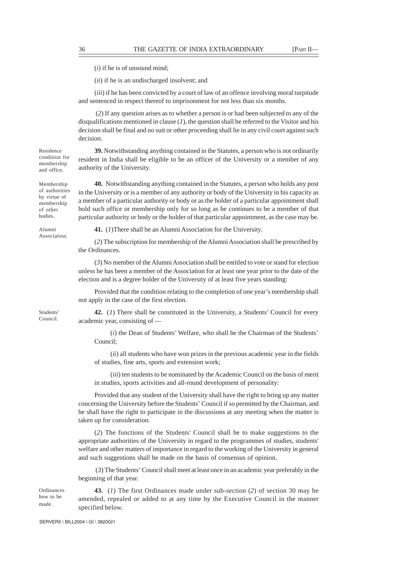(*i*) if he is of unsound mind;

(*ii*) if he is an undischarged insolvent; and

(*iii*) if he has been convicted by a court of law of an offence involving moral turpitude and sentenced in respect thereof to imprisonment for not less than six months.

 (*2*) If any question arises as to whether a person is or had been subjected to any of the disqualifications mentioned in clause (*1*), the question shall be referred to the Visitor and his decision shall be final and no suit or other proceeding shall lie in any civil court against such decision.

**39.** Notwithstanding anything contained in the Statutes, a person who is not ordinarily resident in India shall be eligible to be an officer of the University or a member of any authority of the University.

**40.** Notwithstanding anything contained in the Statutes, a person who holds any post in the University or is a member of any authority or body of the University in his capacity as a member of a particular authority or body or as the holder of a particular appointment shall hold such office or membership only for so long as he continues to be a member of that particular authority or body or the holder of that particular appointment, as the case may be.

**41.** (*1*)There shall be an Alumni Association for the University.

(*2*) The subscription for membership of the Alumni Association shall be prescribed by the Ordinances.

(*3*) No member of the Alumni Association shall be entitled to vote or stand for election unless he has been a member of the Association for at least one year prior to the date of the election and is a degree holder of the University of at least five years standing:

Provided that the condition relating to the completion of one year's membership shall not apply in the case of the first election.

**42.** (*1*) There shall be constituted in the University, a Students' Council for every academic year, consisting of —

(*i*) the Dean of Students' Welfare, who shall be the Chairman of the Students' Council;

(*ii*) all students who have won prizes in the previous academic year in the fields of studies, fine arts, sports and extension work;

(*iii*) ten students to be nominated by the Academic Council on the basis of merit in studies, sports activities and all-round development of personality:

Provided that any student of the University shall have the right to bring up any matter concerning the University before the Students' Council if so permitted by the Chairman, and he shall have the right to participate in the discussions at any meeting when the matter is taken up for consideration.

(*2*) The functions of the Students' Council shall be to make suggestions to the appropriate authorities of the University in regard to the programmes of studies, students' welfare and other matters of importance in regard to the working of the University in general and such suggestions shall be made on the basis of consensus of opinion.

 (*3*) The Students' Council shall meet at least once in an academic year preferably in the beginning of that year.

Ordinances how to be made.

**43.** (*1*) The first Ordinances made under sub-section (*2*) of section 30 may be amended, repealed or added to at any time by the Executive Council in the manner specified below.

Membership of authorities by virtue of membership of other bodies.

Residence condition for membership and office.

Alumni Association.

Students' Council.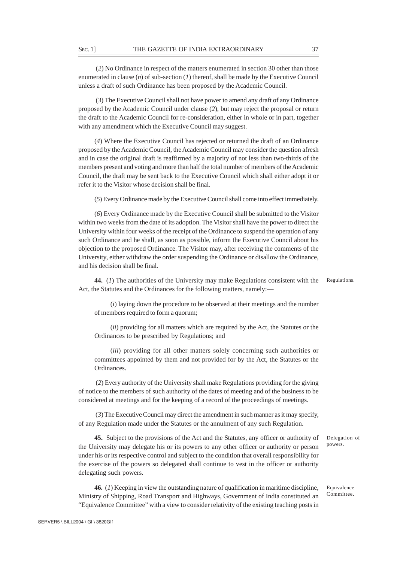(*2*) No Ordinance in respect of the matters enumerated in section 30 other than those enumerated in clause  $(n)$  of sub-section  $(1)$  thereof, shall be made by the Executive Council unless a draft of such Ordinance has been proposed by the Academic Council.

 (*3*) The Executive Council shall not have power to amend any draft of any Ordinance proposed by the Academic Council under clause (*2*), but may reject the proposal or return the draft to the Academic Council for re-consideration, either in whole or in part, together with any amendment which the Executive Council may suggest.

(*4*) Where the Executive Council has rejected or returned the draft of an Ordinance proposed by the Academic Council, the Academic Council may consider the question afresh and in case the original draft is reaffirmed by a majority of not less than two-thirds of the members present and voting and more than half the total number of members of the Academic Council, the draft may be sent back to the Executive Council which shall either adopt it or refer it to the Visitor whose decision shall be final.

(*5*) Every Ordinance made by the Executive Council shall come into effect immediately.

(*6*) Every Ordinance made by the Executive Council shall be submitted to the Visitor within two weeks from the date of its adoption. The Visitor shall have the power to direct the University within four weeks of the receipt of the Ordinance to suspend the operation of any such Ordinance and he shall, as soon as possible, inform the Executive Council about his objection to the proposed Ordinance. The Visitor may, after receiving the comments of the University, either withdraw the order suspending the Ordinance or disallow the Ordinance, and his decision shall be final.

**44.** (*1*) The authorities of the University may make Regulations consistent with the Act, the Statutes and the Ordinances for the following matters, namely:— Regulations.

(*i*) laying down the procedure to be observed at their meetings and the number of members required to form a quorum;

(*ii*) providing for all matters which are required by the Act, the Statutes or the Ordinances to be prescribed by Regulations; and

(*iii*) providing for all other matters solely concerning such authorities or committees appointed by them and not provided for by the Act, the Statutes or the Ordinances.

 (*2*) Every authority of the University shall make Regulations providing for the giving of notice to the members of such authority of the dates of meeting and of the business to be considered at meetings and for the keeping of a record of the proceedings of meetings.

 (*3*) The Executive Council may direct the amendment in such manner as it may specify, of any Regulation made under the Statutes or the annulment of any such Regulation.

**45.** Subject to the provisions of the Act and the Statutes, any officer or authority of the University may delegate his or its powers to any other officer or authority or person under his or its respective control and subject to the condition that overall responsibility for the exercise of the powers so delegated shall continue to vest in the officer or authority delegating such powers.

Delegation of powers.

**46.** (*1*) Keeping in view the outstanding nature of qualification in maritime discipline, Ministry of Shipping, Road Transport and Highways, Government of India constituted an "Equivalence Committee" with a view to consider relativity of the existing teaching posts in